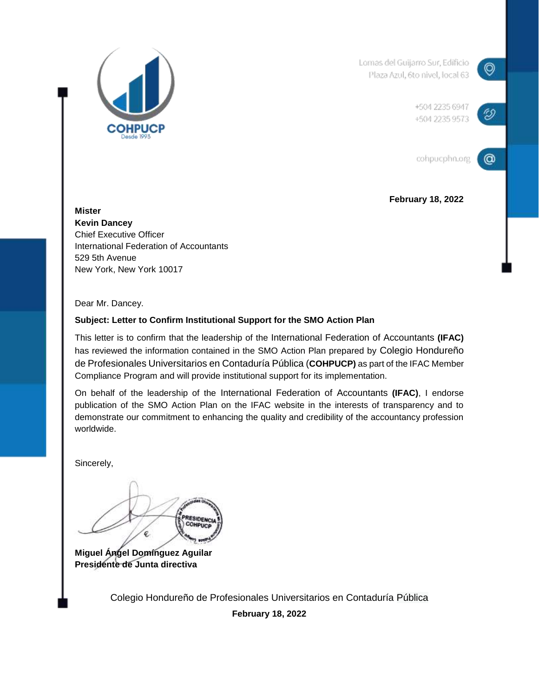

Lomas del Guijarro Sur, Edificio Plaza Azul, 6to nivel, local 63

> +504 2235 6947 +504 2235 9573

 $\circledcirc$ 

0

 $\omega$ 

cohpucphn.org

**February 18, 2022**

**Mister Kevin Dancey** Chief Executive Officer International Federation of Accountants 529 5th Avenue New York, New York 10017

Dear Mr. Dancey.

## **Subject: Letter to Confirm Institutional Support for the SMO Action Plan**

This letter is to confirm that the leadership of the International Federation of Accountants **(IFAC)** has reviewed the information contained in the SMO Action Plan prepared by Colegio Hondureño de Profesionales Universitarios en Contaduría Pública (**COHPUCP)** as part of the IFAC Member Compliance Program and will provide institutional support for its implementation.

On behalf of the leadership of the International Federation of Accountants **(IFAC)**, I endorse publication of the SMO Action Plan on the IFAC website in the interests of transparency and to demonstrate our commitment to enhancing the quality and credibility of the accountancy profession worldwide.

Sincerely,

**ESIDEN** CONPUCE

**Miguel Ángel Domínguez Aguilar Presidente de Junta directiva**

Colegio Hondureño de Profesionales Universitarios en Contaduría Pública **February 18, 2022**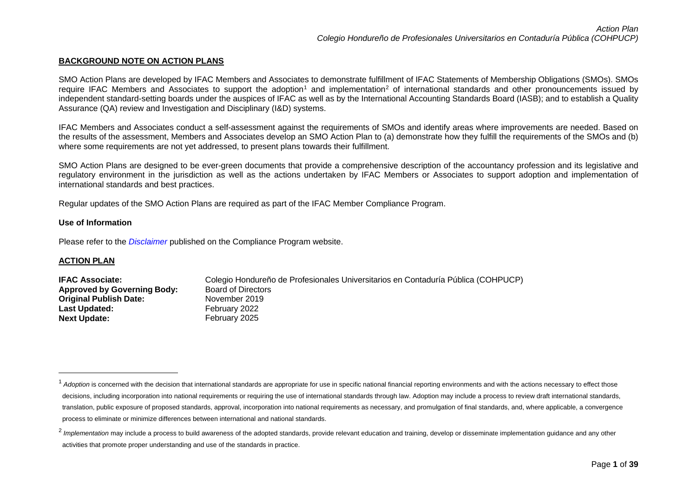#### <span id="page-1-1"></span><span id="page-1-0"></span>**BACKGROUND NOTE ON ACTION PLANS**

SMO Action Plans are developed by IFAC Members and Associates to demonstrate fulfillment of IFAC Statements of Membership Obligations (SMOs). SMOs require IFAC Members and Associates to support the adoption<sup>[1](#page-1-0)</sup> and implementation<sup>[2](#page-1-1)</sup> of international standards and other pronouncements issued by independent standard-setting boards under the auspices of IFAC as well as by the International Accounting Standards Board (IASB); and to establish a Quality Assurance (QA) review and Investigation and Disciplinary (I&D) systems.

IFAC Members and Associates conduct a self-assessment against the requirements of SMOs and identify areas where improvements are needed. Based on the results of the assessment, Members and Associates develop an SMO Action Plan to (a) demonstrate how they fulfill the requirements of the SMOs and (b) where some requirements are not yet addressed, to present plans towards their fulfillment.

SMO Action Plans are designed to be ever-green documents that provide a comprehensive description of the accountancy profession and its legislative and regulatory environment in the jurisdiction as well as the actions undertaken by IFAC Members or Associates to support adoption and implementation of international standards and best practices.

Regular updates of the SMO Action Plans are required as part of the IFAC Member Compliance Program.

#### **Use of Information**

Please refer to the *[Disclaimer](http://www.ifac.org/about-ifac/membership/members/disclaimer)* published on the Compliance Program website.

#### **ACTION PLAN**

| <b>IFAC Associate:</b>             | Colegio Hondureño de Profesionales Universitarios en Contaduría Pública (COHPUCP) |
|------------------------------------|-----------------------------------------------------------------------------------|
| <b>Approved by Governing Body:</b> | Board of Directors                                                                |
| <b>Original Publish Date:</b>      | November 2019                                                                     |
| Last Updated:                      | February 2022                                                                     |
| <b>Next Update:</b>                | February 2025                                                                     |

Adoption is concerned with the decision that international standards are appropriate for use in specific national financial reporting environments and with the actions necessary to effect those decisions, including incorporation into national requirements or requiring the use of international standards through law. Adoption may include a process to review draft international standards, translation, public exposure of proposed standards, approval, incorporation into national requirements as necessary, and promulgation of final standards, and, where applicable, a convergence process to eliminate or minimize differences between international and national standards.

<sup>&</sup>lt;sup>2</sup> Implementation may include a process to build awareness of the adopted standards, provide relevant education and training, develop or disseminate implementation guidance and any other activities that promote proper understanding and use of the standards in practice.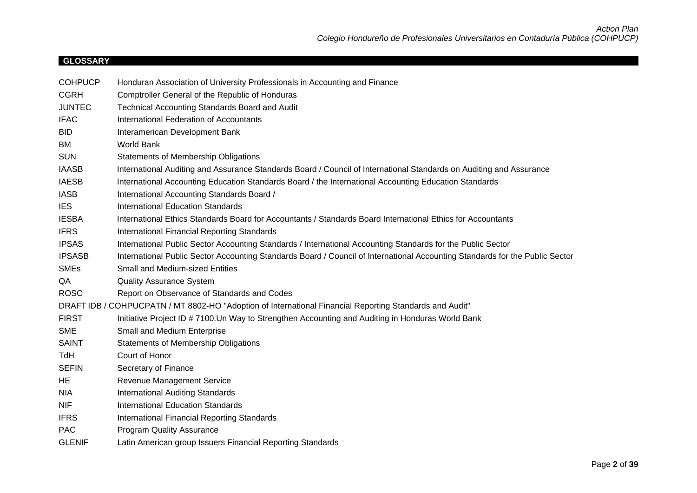# **GLOSSARY**

| <b>COHPUCP</b> | Honduran Association of University Professionals in Accounting and Finance                                                   |
|----------------|------------------------------------------------------------------------------------------------------------------------------|
| <b>CGRH</b>    | Comptroller General of the Republic of Honduras                                                                              |
| <b>JUNTEC</b>  | Technical Accounting Standards Board and Audit                                                                               |
| <b>IFAC</b>    | International Federation of Accountants                                                                                      |
| <b>BID</b>     | Interamerican Development Bank                                                                                               |
| <b>BM</b>      | World Bank                                                                                                                   |
| <b>SUN</b>     | <b>Statements of Membership Obligations</b>                                                                                  |
| <b>IAASB</b>   | International Auditing and Assurance Standards Board / Council of International Standards on Auditing and Assurance          |
| <b>IAESB</b>   | International Accounting Education Standards Board / the International Accounting Education Standards                        |
| <b>IASB</b>    | International Accounting Standards Board /                                                                                   |
| <b>IES</b>     | <b>International Education Standards</b>                                                                                     |
| <b>IESBA</b>   | International Ethics Standards Board for Accountants / Standards Board International Ethics for Accountants                  |
| <b>IFRS</b>    | International Financial Reporting Standards                                                                                  |
| <b>IPSAS</b>   | International Public Sector Accounting Standards / International Accounting Standards for the Public Sector                  |
| <b>IPSASB</b>  | International Public Sector Accounting Standards Board / Council of International Accounting Standards for the Public Sector |
| <b>SMEs</b>    | <b>Small and Medium-sized Entities</b>                                                                                       |
| QA             | <b>Quality Assurance System</b>                                                                                              |
| <b>ROSC</b>    | Report on Observance of Standards and Codes                                                                                  |
|                | DRAFT IDB / COHPUCPATN / MT 8802-HO "Adoption of International Financial Reporting Standards and Audit"                      |
| <b>FIRST</b>   | Initiative Project ID # 7100. Un Way to Strengthen Accounting and Auditing in Honduras World Bank                            |
| <b>SME</b>     | Small and Medium Enterprise                                                                                                  |
| <b>SAINT</b>   | <b>Statements of Membership Obligations</b>                                                                                  |
| TdH            | Court of Honor                                                                                                               |
| <b>SEFIN</b>   | Secretary of Finance                                                                                                         |
| HE             | Revenue Management Service                                                                                                   |
| <b>NIA</b>     | <b>International Auditing Standards</b>                                                                                      |
| <b>NIF</b>     | <b>International Education Standards</b>                                                                                     |
| <b>IFRS</b>    | International Financial Reporting Standards                                                                                  |
| <b>PAC</b>     | <b>Program Quality Assurance</b>                                                                                             |
| <b>GLENIF</b>  | Latin American group Issuers Financial Reporting Standards                                                                   |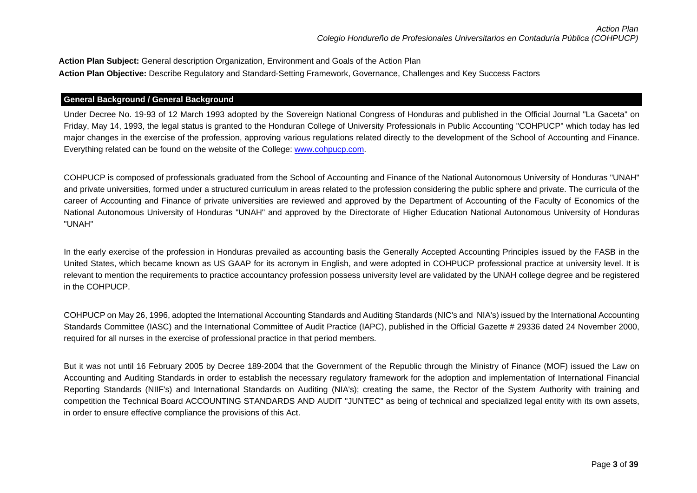**Action Plan Subject:** General description Organization, Environment and Goals of the Action Plan **Action Plan Objective:** Describe Regulatory and Standard-Setting Framework, Governance, Challenges and Key Success Factors

# **General Background / General Background**

Under Decree No. 19-93 of 12 March 1993 adopted by the Sovereign National Congress of Honduras and published in the Official Journal "La Gaceta" on Friday, May 14, 1993, the legal status is granted to the Honduran College of University Professionals in Public Accounting "COHPUCP" which today has led major changes in the exercise of the profession, approving various regulations related directly to the development of the School of Accounting and Finance. Everything related can be found on the website of the College[: www.cohpucp.com.](http://www.cohpucp.com/)

COHPUCP is composed of professionals graduated from the School of Accounting and Finance of the National Autonomous University of Honduras "UNAH" and private universities, formed under a structured curriculum in areas related to the profession considering the public sphere and private. The curricula of the career of Accounting and Finance of private universities are reviewed and approved by the Department of Accounting of the Faculty of Economics of the National Autonomous University of Honduras "UNAH" and approved by the Directorate of Higher Education National Autonomous University of Honduras "UNAH"

In the early exercise of the profession in Honduras prevailed as accounting basis the Generally Accepted Accounting Principles issued by the FASB in the United States, which became known as US GAAP for its acronym in English, and were adopted in COHPUCP professional practice at university level. It is relevant to mention the requirements to practice accountancy profession possess university level are validated by the UNAH college degree and be registered in the COHPUCP.

COHPUCP on May 26, 1996, adopted the International Accounting Standards and Auditing Standards (NIC's and NIA's) issued by the International Accounting Standards Committee (IASC) and the International Committee of Audit Practice (IAPC), published in the Official Gazette # 29336 dated 24 November 2000, required for all nurses in the exercise of professional practice in that period members.

But it was not until 16 February 2005 by Decree 189-2004 that the Government of the Republic through the Ministry of Finance (MOF) issued the Law on Accounting and Auditing Standards in order to establish the necessary regulatory framework for the adoption and implementation of International Financial Reporting Standards (NIIF's) and International Standards on Auditing (NIA's); creating the same, the Rector of the System Authority with training and competition the Technical Board ACCOUNTING STANDARDS AND AUDIT "JUNTEC" as being of technical and specialized legal entity with its own assets, in order to ensure effective compliance the provisions of this Act.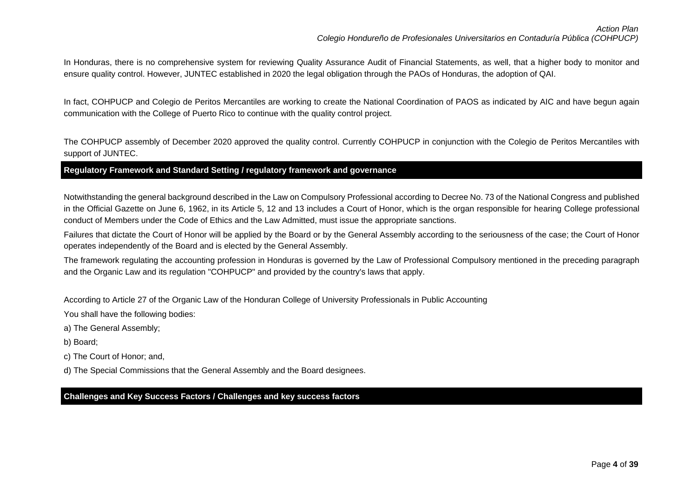In Honduras, there is no comprehensive system for reviewing Quality Assurance Audit of Financial Statements, as well, that a higher body to monitor and ensure quality control. However, JUNTEC established in 2020 the legal obligation through the PAOs of Honduras, the adoption of QAI.

In fact, COHPUCP and Colegio de Peritos Mercantiles are working to create the National Coordination of PAOS as indicated by AIC and have begun again communication with the College of Puerto Rico to continue with the quality control project.

The COHPUCP assembly of December 2020 approved the quality control. Currently COHPUCP in conjunction with the Colegio de Peritos Mercantiles with support of JUNTEC.

**Regulatory Framework and Standard Setting / regulatory framework and governance** 

Notwithstanding the general background described in the Law on Compulsory Professional according to Decree No. 73 of the National Congress and published in the Official Gazette on June 6, 1962, in its Article 5, 12 and 13 includes a Court of Honor, which is the organ responsible for hearing College professional conduct of Members under the Code of Ethics and the Law Admitted, must issue the appropriate sanctions.

Failures that dictate the Court of Honor will be applied by the Board or by the General Assembly according to the seriousness of the case; the Court of Honor operates independently of the Board and is elected by the General Assembly.

The framework regulating the accounting profession in Honduras is governed by the Law of Professional Compulsory mentioned in the preceding paragraph and the Organic Law and its regulation "COHPUCP" and provided by the country's laws that apply.

According to Article 27 of the Organic Law of the Honduran College of University Professionals in Public Accounting

You shall have the following bodies:

- a) The General Assembly;
- b) Board;
- c) The Court of Honor; and,
- d) The Special Commissions that the General Assembly and the Board designees.

**Challenges and Key Success Factors / Challenges and key success factors**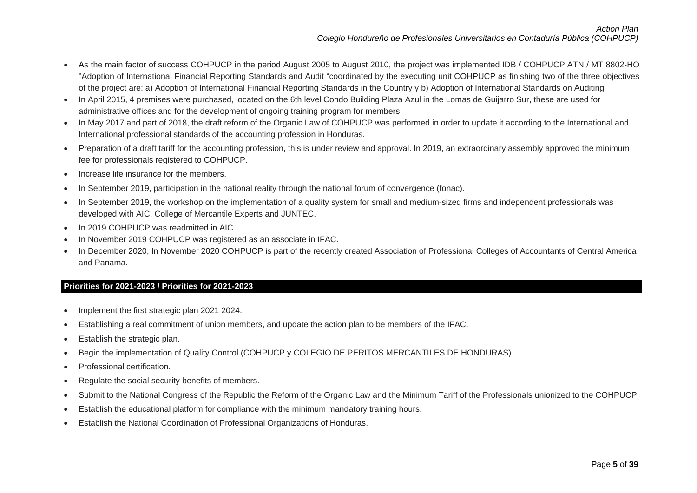- As the main factor of success COHPUCP in the period August 2005 to August 2010, the project was implemented IDB / COHPUCP ATN / MT 8802-HO "Adoption of International Financial Reporting Standards and Audit "coordinated by the executing unit COHPUCP as finishing two of the three objectives of the project are: a) Adoption of International Financial Reporting Standards in the Country y b) Adoption of International Standards on Auditing
- In April 2015, 4 premises were purchased, located on the 6th level Condo Building Plaza Azul in the Lomas de Guijarro Sur, these are used for administrative offices and for the development of ongoing training program for members.
- In May 2017 and part of 2018, the draft reform of the Organic Law of COHPUCP was performed in order to update it according to the International and International professional standards of the accounting profession in Honduras.
- Preparation of a draft tariff for the accounting profession, this is under review and approval. In 2019, an extraordinary assembly approved the minimum fee for professionals registered to COHPUCP.
- Increase life insurance for the members.
- In September 2019, participation in the national reality through the national forum of convergence (fonac).
- In September 2019, the workshop on the implementation of a quality system for small and medium-sized firms and independent professionals was developed with AIC, College of Mercantile Experts and JUNTEC.
- In 2019 COHPUCP was readmitted in AIC.
- In November 2019 COHPUCP was registered as an associate in IFAC.
- In December 2020, In November 2020 COHPUCP is part of the recently created Association of Professional Colleges of Accountants of Central America and Panama.

## **Priorities for 2021-2023 / Priorities for 2021-2023**

- Implement the first strategic plan 2021 2024.
- Establishing a real commitment of union members, and update the action plan to be members of the IFAC.
- Establish the strategic plan.
- Begin the implementation of Quality Control (COHPUCP y COLEGIO DE PERITOS MERCANTILES DE HONDURAS).
- Professional certification.
- Regulate the social security benefits of members.
- Submit to the National Congress of the Republic the Reform of the Organic Law and the Minimum Tariff of the Professionals unionized to the COHPUCP.
- Establish the educational platform for compliance with the minimum mandatory training hours.
- Establish the National Coordination of Professional Organizations of Honduras.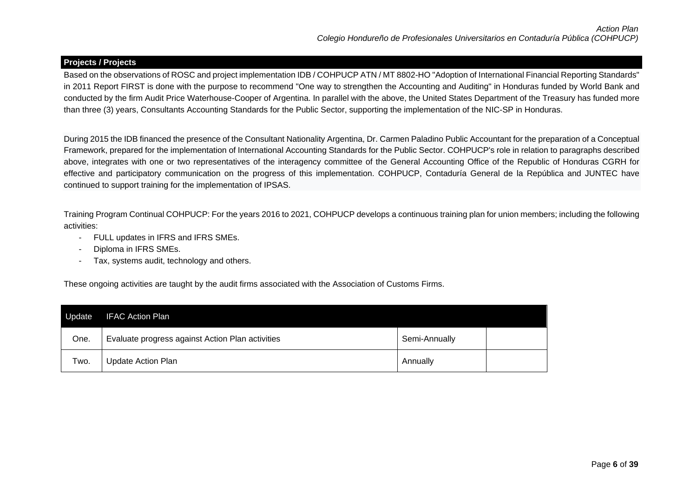# **Projects / Projects**

Based on the observations of ROSC and project implementation IDB / COHPUCP ATN / MT 8802-HO "Adoption of International Financial Reporting Standards" in 2011 Report FIRST is done with the purpose to recommend "One way to strengthen the Accounting and Auditing" in Honduras funded by World Bank and conducted by the firm Audit Price Waterhouse-Cooper of Argentina. In parallel with the above, the United States Department of the Treasury has funded more than three (3) years, Consultants Accounting Standards for the Public Sector, supporting the implementation of the NIC-SP in Honduras.

During 2015 the IDB financed the presence of the Consultant Nationality Argentina, Dr. Carmen Paladino Public Accountant for the preparation of a Conceptual Framework, prepared for the implementation of International Accounting Standards for the Public Sector. COHPUCP's role in relation to paragraphs described above, integrates with one or two representatives of the interagency committee of the General Accounting Office of the Republic of Honduras CGRH for effective and participatory communication on the progress of this implementation. COHPUCP, Contaduría General de la República and JUNTEC have continued to support training for the implementation of IPSAS.

Training Program Continual COHPUCP: For the years 2016 to 2021, COHPUCP develops a continuous training plan for union members; including the following activities:

- FULL updates in IFRS and IFRS SMEs.
- Diploma in IFRS SMEs.
- Tax, systems audit, technology and others.

These ongoing activities are taught by the audit firms associated with the Association of Customs Firms.

| Update | <b>IFAC Action Plan</b>                          |               |  |
|--------|--------------------------------------------------|---------------|--|
| One.   | Evaluate progress against Action Plan activities | Semi-Annually |  |
| Two.   | <b>Update Action Plan</b>                        | Annually      |  |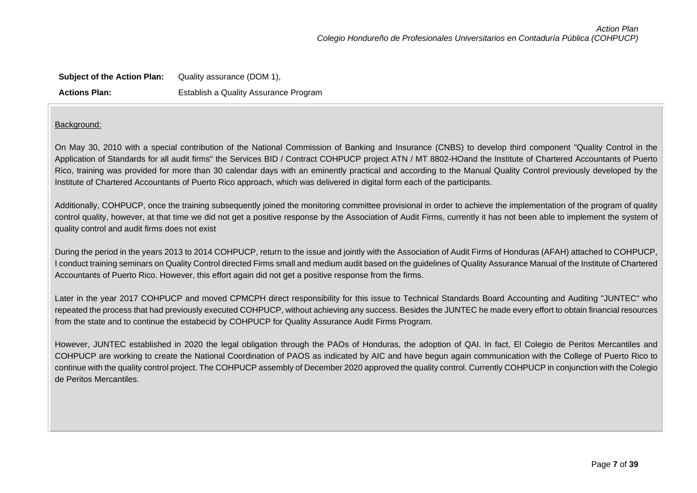| <b>Subject of the Action Plan:</b> | Quality assurance (DOM 1),            |
|------------------------------------|---------------------------------------|
| <b>Actions Plan:</b>               | Establish a Quality Assurance Program |

## Background:

On May 30, 2010 with a special contribution of the National Commission of Banking and Insurance (CNBS) to develop third component "Quality Control in the Application of Standards for all audit firms" the Services BID / Contract COHPUCP project ATN / MT 8802-HOand the Institute of Chartered Accountants of Puerto Rico, training was provided for more than 30 calendar days with an eminently practical and according to the Manual Quality Control previously developed by the Institute of Chartered Accountants of Puerto Rico approach, which was delivered in digital form each of the participants.

Additionally, COHPUCP, once the training subsequently joined the monitoring committee provisional in order to achieve the implementation of the program of quality control quality, however, at that time we did not get a positive response by the Association of Audit Firms, currently it has not been able to implement the system of quality control and audit firms does not exist

During the period in the years 2013 to 2014 COHPUCP, return to the issue and jointly with the Association of Audit Firms of Honduras (AFAH) attached to COHPUCP, I conduct training seminars on Quality Control directed Firms small and medium audit based on the guidelines of Quality Assurance Manual of the Institute of Chartered Accountants of Puerto Rico. However, this effort again did not get a positive response from the firms.

Later in the year 2017 COHPUCP and moved CPMCPH direct responsibility for this issue to Technical Standards Board Accounting and Auditing "JUNTEC" who repeated the process that had previously executed COHPUCP, without achieving any success. Besides the JUNTEC he made every effort to obtain financial resources from the state and to continue the estabecid by COHPUCP for Quality Assurance Audit Firms Program.

However, JUNTEC established in 2020 the legal obligation through the PAOs of Honduras, the adoption of QAI. In fact, El Colegio de Peritos Mercantiles and COHPUCP are working to create the National Coordination of PAOS as indicated by AIC and have begun again communication with the College of Puerto Rico to continue with the quality control project. The COHPUCP assembly of December 2020 approved the quality control. Currently COHPUCP in conjunction with the Colegio de Peritos Mercantiles.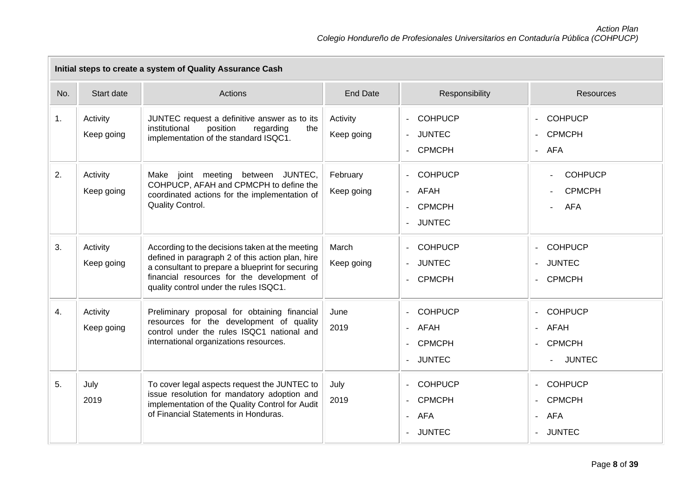|     | Initial steps to create a system of Quality Assurance Cash |                                                                                                                                                                                                                                                 |                        |                                                                                                        |                                                                                                                                |  |  |
|-----|------------------------------------------------------------|-------------------------------------------------------------------------------------------------------------------------------------------------------------------------------------------------------------------------------------------------|------------------------|--------------------------------------------------------------------------------------------------------|--------------------------------------------------------------------------------------------------------------------------------|--|--|
| No. | Start date                                                 | Actions                                                                                                                                                                                                                                         | <b>End Date</b>        | Responsibility                                                                                         | Resources                                                                                                                      |  |  |
| 1.  | Activity<br>Keep going                                     | JUNTEC request a definitive answer as to its<br>institutional<br>position<br>regarding<br>the<br>implementation of the standard ISQC1.                                                                                                          | Activity<br>Keep going | <b>COHPUCP</b><br><b>JUNTEC</b><br>$\overline{a}$<br><b>CPMCPH</b>                                     | <b>COHPUCP</b><br>$\mathbf{r}$<br><b>CPMCPH</b><br>- AFA                                                                       |  |  |
| 2.  | Activity<br>Keep going                                     | Make joint meeting between JUNTEC,<br>COHPUCP, AFAH and CPMCPH to define the<br>coordinated actions for the implementation of<br>Quality Control.                                                                                               | February<br>Keep going | <b>COHPUCP</b><br>$\sim$<br>AFAH<br>$\blacksquare$<br><b>CPMCPH</b><br>$\blacksquare$<br><b>JUNTEC</b> | <b>COHPUCP</b><br><b>CPMCPH</b><br><b>AFA</b><br>$\sim$                                                                        |  |  |
| 3.  | Activity<br>Keep going                                     | According to the decisions taken at the meeting<br>defined in paragraph 2 of this action plan, hire<br>a consultant to prepare a blueprint for securing<br>financial resources for the development of<br>quality control under the rules ISQC1. | March<br>Keep going    | <b>COHPUCP</b><br>$\blacksquare$<br><b>JUNTEC</b><br>$\overline{\phantom{a}}$<br><b>CPMCPH</b>         | <b>COHPUCP</b><br>$\overline{a}$<br><b>JUNTEC</b><br><b>CPMCPH</b>                                                             |  |  |
| 4.  | Activity<br>Keep going                                     | Preliminary proposal for obtaining financial<br>resources for the development of quality<br>control under the rules ISQC1 national and<br>international organizations resources.                                                                | June<br>2019           | <b>COHPUCP</b><br>$\blacksquare$<br>AFAH<br><b>CPMCPH</b><br><b>JUNTEC</b>                             | <b>COHPUCP</b><br><b>AFAH</b><br>$\mathbf{r}$<br><b>CPMCPH</b><br>$\blacksquare$<br><b>JUNTEC</b>                              |  |  |
| 5.  | July<br>2019                                               | To cover legal aspects request the JUNTEC to<br>issue resolution for mandatory adoption and<br>implementation of the Quality Control for Audit<br>of Financial Statements in Honduras.                                                          | July<br>2019           | <b>COHPUCP</b><br><b>CPMCPH</b><br>AFA<br>$\sim$<br><b>JUNTEC</b>                                      | <b>COHPUCP</b><br>$\blacksquare$<br><b>CPMCPH</b><br>$\overline{\phantom{a}}$<br><b>AFA</b><br>$\blacksquare$<br><b>JUNTEC</b> |  |  |

 $\overline{\phantom{a}}$ 

 $\overline{\phantom{0}}$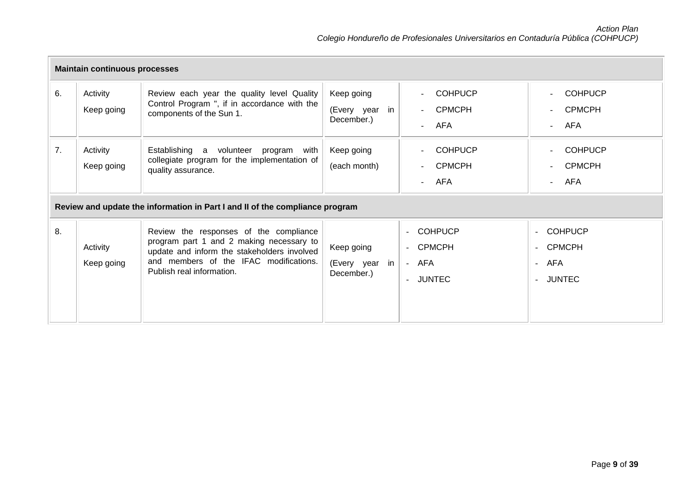|    | <b>Maintain continuous processes</b> |                                                                                                                                                                                                          |                                            |                                                                                                        |                                                                                                 |  |
|----|--------------------------------------|----------------------------------------------------------------------------------------------------------------------------------------------------------------------------------------------------------|--------------------------------------------|--------------------------------------------------------------------------------------------------------|-------------------------------------------------------------------------------------------------|--|
| 6. | Activity<br>Keep going               | Review each year the quality level Quality<br>Control Program ", if in accordance with the<br>components of the Sun 1.                                                                                   | Keep going<br>(Every year in<br>December.) | <b>COHPUCP</b><br>$\blacksquare$<br><b>CPMCPH</b><br>$\blacksquare$<br>AFA<br>$\overline{a}$           | <b>COHPUCP</b><br><b>CPMCPH</b><br>AFA<br>÷.                                                    |  |
| 7. | Activity<br>Keep going               | Establishing a volunteer<br>program<br>with<br>collegiate program for the implementation of<br>quality assurance.                                                                                        | Keep going<br>(each month)                 | <b>COHPUCP</b><br>$\blacksquare$<br><b>CPMCPH</b><br>$\overline{a}$<br>AFA<br>$\overline{\phantom{a}}$ | <b>COHPUCP</b><br><b>CPMCPH</b><br>AFA<br>$\overline{a}$                                        |  |
|    |                                      | Review and update the information in Part I and II of the compliance program                                                                                                                             |                                            |                                                                                                        |                                                                                                 |  |
| 8. | Activity<br>Keep going               | Review the responses of the compliance<br>program part 1 and 2 making necessary to<br>update and inform the stakeholders involved<br>and members of the IFAC modifications.<br>Publish real information. | Keep going<br>(Every year in<br>December.) | <b>COHPUCP</b><br><b>CPMCPH</b><br>$\sim$<br>AFA<br>$\sim$<br><b>JUNTEC</b>                            | <b>COHPUCP</b><br>$\sim$<br><b>CPMCPH</b><br>$\sim$<br>AFA<br>$\sim$<br><b>JUNTEC</b><br>$\sim$ |  |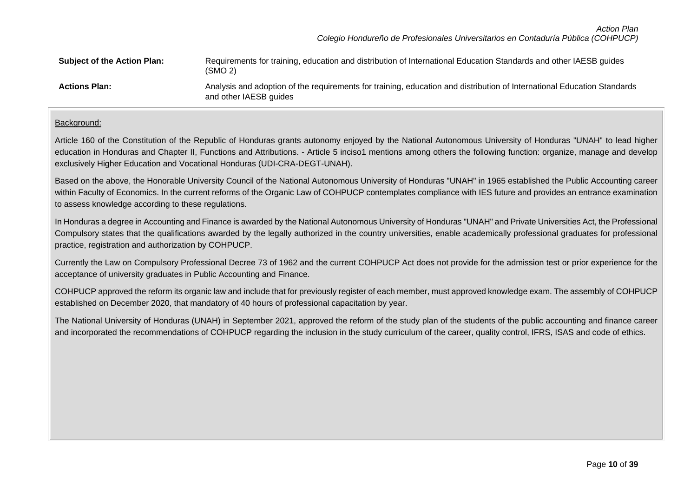| <b>Subject of the Action Plan:</b> | Requirements for training, education and distribution of International Education Standards and other IAESB quides<br>(SMO 2)                      |
|------------------------------------|---------------------------------------------------------------------------------------------------------------------------------------------------|
| <b>Actions Plan:</b>               | Analysis and adoption of the requirements for training, education and distribution of International Education Standards<br>and other IAESB guides |

#### Background:

Article 160 of the Constitution of the Republic of Honduras grants autonomy enjoyed by the National Autonomous University of Honduras "UNAH" to lead higher education in Honduras and Chapter II, Functions and Attributions. - Article 5 inciso1 mentions among others the following function: organize, manage and develop exclusively Higher Education and Vocational Honduras (UDI-CRA-DEGT-UNAH).

Based on the above, the Honorable University Council of the National Autonomous University of Honduras "UNAH" in 1965 established the Public Accounting career within Faculty of Economics. In the current reforms of the Organic Law of COHPUCP contemplates compliance with IES future and provides an entrance examination to assess knowledge according to these regulations.

In Honduras a degree in Accounting and Finance is awarded by the National Autonomous University of Honduras "UNAH" and Private Universities Act, the Professional Compulsory states that the qualifications awarded by the legally authorized in the country universities, enable academically professional graduates for professional practice, registration and authorization by COHPUCP.

Currently the Law on Compulsory Professional Decree 73 of 1962 and the current COHPUCP Act does not provide for the admission test or prior experience for the acceptance of university graduates in Public Accounting and Finance.

COHPUCP approved the reform its organic law and include that for previously register of each member, must approved knowledge exam. The assembly of COHPUCP established on December 2020, that mandatory of 40 hours of professional capacitation by year.

The National University of Honduras (UNAH) in September 2021, approved the reform of the study plan of the students of the public accounting and finance career and incorporated the recommendations of COHPUCP regarding the inclusion in the study curriculum of the career, quality control, IFRS, ISAS and code of ethics.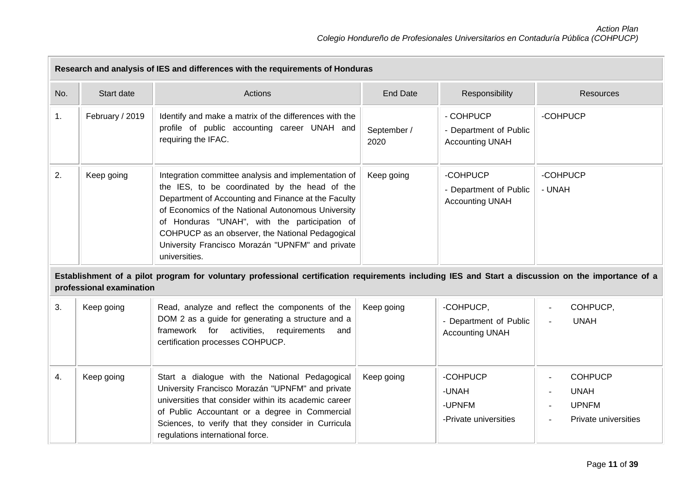|     | Research and analysis of IES and differences with the requirements of Honduras |                                                                                                                                                                                                                                                                                                                                                                                              |                     |                                                               |                                                                                 |  |
|-----|--------------------------------------------------------------------------------|----------------------------------------------------------------------------------------------------------------------------------------------------------------------------------------------------------------------------------------------------------------------------------------------------------------------------------------------------------------------------------------------|---------------------|---------------------------------------------------------------|---------------------------------------------------------------------------------|--|
| No. | Start date                                                                     | Actions                                                                                                                                                                                                                                                                                                                                                                                      | <b>End Date</b>     | Responsibility                                                | <b>Resources</b>                                                                |  |
| 1.  | February / 2019                                                                | Identify and make a matrix of the differences with the<br>profile of public accounting career UNAH and<br>requiring the IFAC.                                                                                                                                                                                                                                                                | September /<br>2020 | - COHPUCP<br>- Department of Public<br><b>Accounting UNAH</b> | -COHPUCP                                                                        |  |
| 2.  | Keep going                                                                     | Integration committee analysis and implementation of<br>the IES, to be coordinated by the head of the<br>Department of Accounting and Finance at the Faculty<br>of Economics of the National Autonomous University<br>of Honduras "UNAH", with the participation of<br>COHPUCP as an observer, the National Pedagogical<br>University Francisco Morazán "UPNFM" and private<br>universities. | Keep going          | -COHPUCP<br>- Department of Public<br><b>Accounting UNAH</b>  | -COHPUCP<br>- UNAH                                                              |  |
|     | professional examination                                                       | Establishment of a pilot program for voluntary professional certification requirements including IES and Start a discussion on the importance of a                                                                                                                                                                                                                                           |                     |                                                               |                                                                                 |  |
| 3.  | Keep going                                                                     | Read, analyze and reflect the components of the<br>DOM 2 as a guide for generating a structure and a<br>framework for activities,<br>requirements<br>and<br>certification processes COHPUCP.                                                                                                                                                                                                 | Keep going          | -COHPUCP,<br>- Department of Public<br><b>Accounting UNAH</b> | COHPUCP,<br>$\sim$<br><b>UNAH</b>                                               |  |
| 4.  | Keep going                                                                     | Start a dialogue with the National Pedagogical<br>University Francisco Morazán "UPNFM" and private<br>universities that consider within its academic career<br>of Public Accountant or a degree in Commercial<br>Sciences, to verify that they consider in Curricula<br>regulations international force.                                                                                     | Keep going          | -COHPUCP<br>-UNAH<br>-UPNFM<br>-Private universities          | <b>COHPUCP</b><br><b>UNAH</b><br>$\sim$<br><b>UPNFM</b><br>Private universities |  |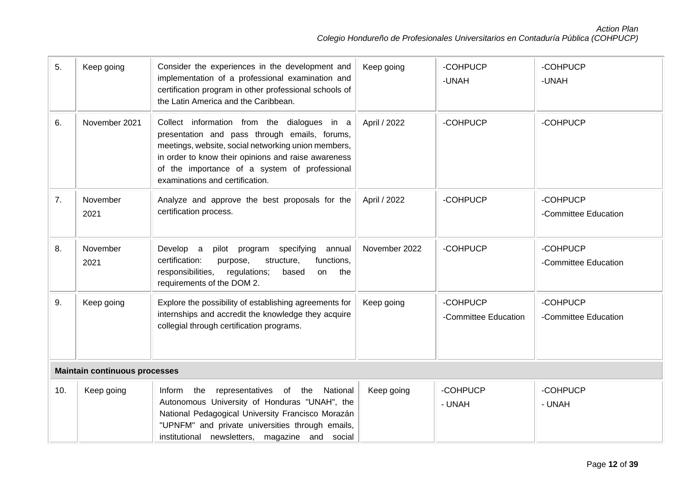| 5.                                   | Keep going       | Consider the experiences in the development and<br>implementation of a professional examination and<br>certification program in other professional schools of<br>the Latin America and the Caribbean.                                                                                          | Keep going    | -COHPUCP<br>-UNAH                | -COHPUCP<br>-UNAH                |
|--------------------------------------|------------------|------------------------------------------------------------------------------------------------------------------------------------------------------------------------------------------------------------------------------------------------------------------------------------------------|---------------|----------------------------------|----------------------------------|
| 6.                                   | November 2021    | Collect information from the dialogues in a<br>presentation and pass through emails, forums,<br>meetings, website, social networking union members,<br>in order to know their opinions and raise awareness<br>of the importance of a system of professional<br>examinations and certification. | April / 2022  | -COHPUCP                         | -COHPUCP                         |
| 7.                                   | November<br>2021 | Analyze and approve the best proposals for the<br>certification process.                                                                                                                                                                                                                       | April / 2022  | -COHPUCP                         | -COHPUCP<br>-Committee Education |
| 8.                                   | November<br>2021 | specifying<br>Develop a<br>pilot program<br>annual<br>functions,<br>certification:<br>structure,<br>purpose,<br>responsibilities,<br>regulations;<br>based<br>the<br>on<br>requirements of the DOM 2.                                                                                          | November 2022 | -COHPUCP                         | -COHPUCP<br>-Committee Education |
| 9.                                   | Keep going       | Explore the possibility of establishing agreements for<br>internships and accredit the knowledge they acquire<br>collegial through certification programs.                                                                                                                                     | Keep going    | -COHPUCP<br>-Committee Education | -COHPUCP<br>-Committee Education |
| <b>Maintain continuous processes</b> |                  |                                                                                                                                                                                                                                                                                                |               |                                  |                                  |
| 10.                                  | Keep going       | representatives of the National<br>Inform the<br>Autonomous University of Honduras "UNAH", the<br>National Pedagogical University Francisco Morazán<br>"UPNFM" and private universities through emails,<br>institutional newsletters, magazine and social                                      | Keep going    | -COHPUCP<br>- UNAH               | -COHPUCP<br>- UNAH               |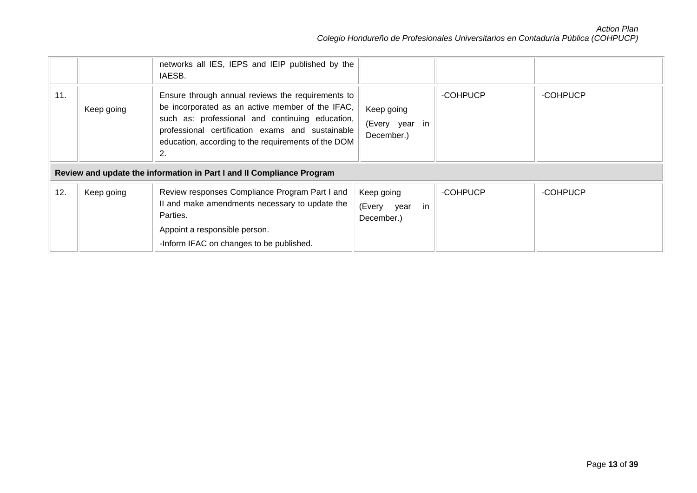|     |            | networks all IES, IEPS and IEIP published by the<br>IAESB.                                                                                                                                                                                                                |                                               |          |          |
|-----|------------|---------------------------------------------------------------------------------------------------------------------------------------------------------------------------------------------------------------------------------------------------------------------------|-----------------------------------------------|----------|----------|
| 11. | Keep going | Ensure through annual reviews the requirements to<br>be incorporated as an active member of the IFAC,<br>such as: professional and continuing education,<br>professional certification exams and sustainable<br>education, according to the requirements of the DOM<br>2. | Keep going<br>(Every year in<br>December.)    | -COHPUCP | -COHPUCP |
|     |            | Review and update the information in Part I and II Compliance Program                                                                                                                                                                                                     |                                               |          |          |
| 12. | Keep going | Review responses Compliance Program Part I and<br>II and make amendments necessary to update the<br>Parties.<br>Appoint a responsible person.<br>-Inform IFAC on changes to be published.                                                                                 | Keep going<br>in<br>(Every year<br>December.) | -COHPUCP | -COHPUCP |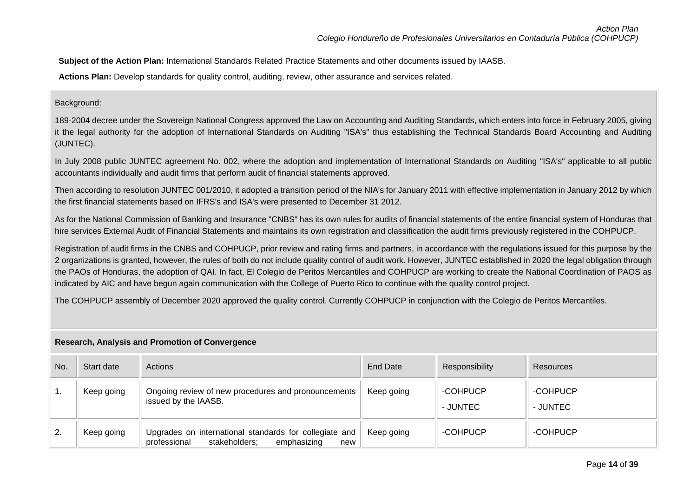**Subject of the Action Plan:** International Standards Related Practice Statements and other documents issued by IAASB.

**Actions Plan:** Develop standards for quality control, auditing, review, other assurance and services related.

## Background:

189-2004 decree under the Sovereign National Congress approved the Law on Accounting and Auditing Standards, which enters into force in February 2005, giving it the legal authority for the adoption of International Standards on Auditing "ISA's" thus establishing the Technical Standards Board Accounting and Auditing (JUNTEC).

In July 2008 public JUNTEC agreement No. 002, where the adoption and implementation of International Standards on Auditing "ISA's" applicable to all public accountants individually and audit firms that perform audit of financial statements approved.

Then according to resolution JUNTEC 001/2010, it adopted a transition period of the NIA's for January 2011 with effective implementation in January 2012 by which the first financial statements based on IFRS's and ISA's were presented to December 31 2012.

As for the National Commission of Banking and Insurance "CNBS" has its own rules for audits of financial statements of the entire financial system of Honduras that hire services External Audit of Financial Statements and maintains its own registration and classification the audit firms previously registered in the COHPUCP.

Registration of audit firms in the CNBS and COHPUCP, prior review and rating firms and partners, in accordance with the regulations issued for this purpose by the 2 organizations is granted, however, the rules of both do not include quality control of audit work. However, JUNTEC established in 2020 the legal obligation through the PAOs of Honduras, the adoption of QAI. In fact, El Colegio de Peritos Mercantiles and COHPUCP are working to create the National Coordination of PAOS as indicated by AIC and have begun again communication with the College of Puerto Rico to continue with the quality control project.

The COHPUCP assembly of December 2020 approved the quality control. Currently COHPUCP in conjunction with the Colegio de Peritos Mercantiles.

|     | <u>11999ar 911, 7 mary 919 anish 1 henrement of Sentrergonee</u> |                                                                                                               |            |                      |                      |
|-----|------------------------------------------------------------------|---------------------------------------------------------------------------------------------------------------|------------|----------------------|----------------------|
| No. | Start date                                                       | <b>Actions</b>                                                                                                | End Date   | Responsibility       | <b>Resources</b>     |
|     | Keep going                                                       | Ongoing review of new procedures and pronouncements<br>issued by the IAASB.                                   | Keep going | -COHPUCP<br>- JUNTEC | -COHPUCP<br>- JUNTEC |
| 2.  | Keep going                                                       | Upgrades on international standards for collegiate and<br>stakeholders:<br>emphasizing<br>professional<br>new | Keep going | -COHPUCP             | -COHPUCP             |

# **Research, Analysis and Promotion of Convergence**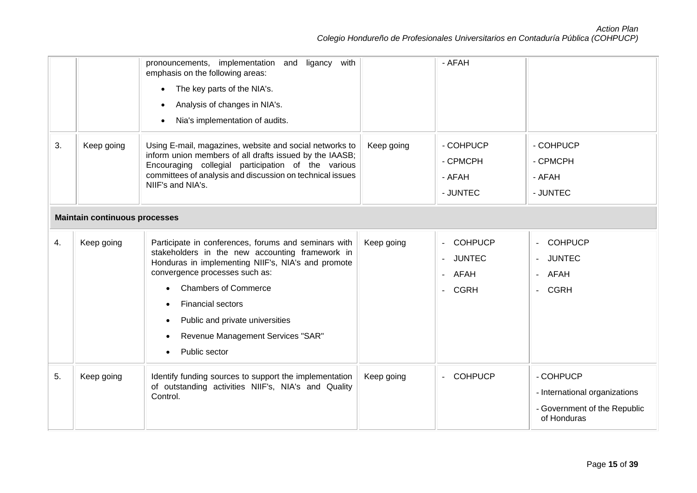|    |                                      | pronouncements, implementation and ligancy with<br>emphasis on the following areas:<br>The key parts of the NIA's.<br>Analysis of changes in NIA's.<br>Nia's implementation of audits.                                                                                                                                                                           |            | - AFAH                                                                                         |                                                                                           |
|----|--------------------------------------|------------------------------------------------------------------------------------------------------------------------------------------------------------------------------------------------------------------------------------------------------------------------------------------------------------------------------------------------------------------|------------|------------------------------------------------------------------------------------------------|-------------------------------------------------------------------------------------------|
| 3. | Keep going                           | Using E-mail, magazines, website and social networks to<br>inform union members of all drafts issued by the IAASB;<br>Encouraging collegial participation of the various<br>committees of analysis and discussion on technical issues<br>NIIF's and NIA's.                                                                                                       | Keep going | - COHPUCP<br>- CPMCPH<br>- AFAH<br>- JUNTEC                                                    | - COHPUCP<br>- CPMCPH<br>- AFAH<br>- JUNTEC                                               |
|    | <b>Maintain continuous processes</b> |                                                                                                                                                                                                                                                                                                                                                                  |            |                                                                                                |                                                                                           |
| 4. | Keep going                           | Participate in conferences, forums and seminars with<br>stakeholders in the new accounting framework in<br>Honduras in implementing NIIF's, NIA's and promote<br>convergence processes such as:<br><b>Chambers of Commerce</b><br>$\bullet$<br><b>Financial sectors</b><br>Public and private universities<br>Revenue Management Services "SAR"<br>Public sector | Keep going | <b>COHPUCP</b><br>$\equiv$<br><b>JUNTEC</b><br>$\blacksquare$<br>AFAH<br>$\sim$<br><b>CGRH</b> | <b>COHPUCP</b><br><b>JUNTEC</b><br>- AFAH<br><b>CGRH</b><br>$\sim$                        |
| 5. | Keep going                           | Identify funding sources to support the implementation<br>of outstanding activities NIIF's, NIA's and Quality<br>Control.                                                                                                                                                                                                                                        | Keep going | <b>COHPUCP</b>                                                                                 | - COHPUCP<br>- International organizations<br>- Government of the Republic<br>of Honduras |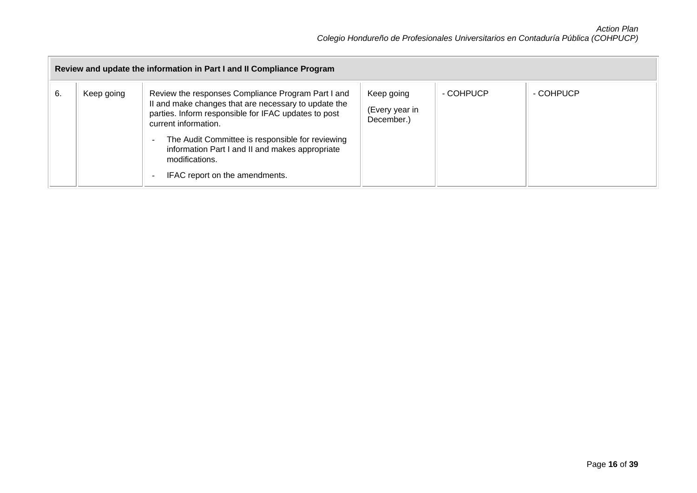| Review and update the information in Part I and II Compliance Program |            |                                                                                                                                                                                                                                                                                                                                                       |                                            |           |           |  |  |  |
|-----------------------------------------------------------------------|------------|-------------------------------------------------------------------------------------------------------------------------------------------------------------------------------------------------------------------------------------------------------------------------------------------------------------------------------------------------------|--------------------------------------------|-----------|-----------|--|--|--|
| 6.                                                                    | Keep going | Review the responses Compliance Program Part I and<br>II and make changes that are necessary to update the<br>parties. Inform responsible for IFAC updates to post<br>current information.<br>The Audit Committee is responsible for reviewing<br>information Part I and II and makes appropriate<br>modifications.<br>IFAC report on the amendments. | Keep going<br>(Every year in<br>December.) | - COHPUCP | - COHPUCP |  |  |  |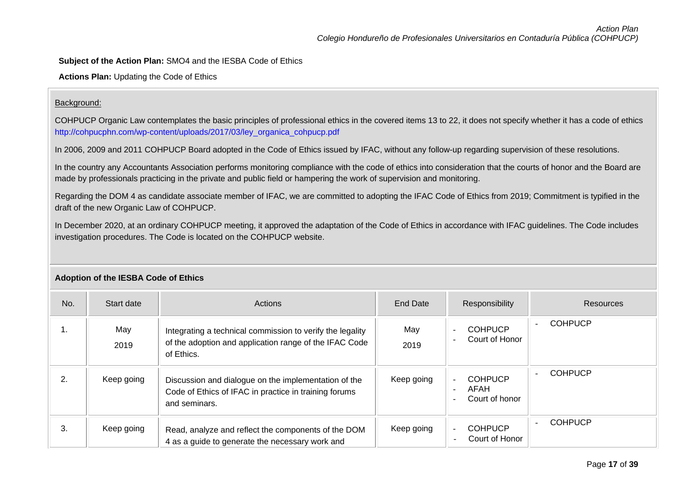**Subject of the Action Plan:** SMO4 and the IESBA Code of Ethics

**Actions Plan:** Updating the Code of Ethics

# Background:

COHPUCP Organic Law contemplates the basic principles of professional ethics in the covered items 13 to 22, it does not specify whether it has a code of ethics [http://cohpucphn.com/wp-content/uploads/2017/03/ley\\_organica\\_cohpucp.pdf](http://cohpucphn.com/wp-content/uploads/2017/03/ley_organica_cohpucp.pdf)

In 2006, 2009 and 2011 COHPUCP Board adopted in the Code of Ethics issued by IFAC, without any follow-up regarding supervision of these resolutions.

In the country any Accountants Association performs monitoring compliance with the code of ethics into consideration that the courts of honor and the Board are made by professionals practicing in the private and public field or hampering the work of supervision and monitoring.

Regarding the DOM 4 as candidate associate member of IFAC, we are committed to adopting the IFAC Code of Ethics from 2019; Commitment is typified in the draft of the new Organic Law of COHPUCP.

In December 2020, at an ordinary COHPUCP meeting, it approved the adaptation of the Code of Ethics in accordance with IFAC guidelines. The Code includes investigation procedures. The Code is located on the COHPUCP website.

| No. | Start date  | Actions                                                                                                                           | End Date    | Responsibility                                               | Resources      |
|-----|-------------|-----------------------------------------------------------------------------------------------------------------------------------|-------------|--------------------------------------------------------------|----------------|
| ι.  | May<br>2019 | Integrating a technical commission to verify the legality<br>of the adoption and application range of the IFAC Code<br>of Ethics. | May<br>2019 | <b>COHPUCP</b><br>Court of Honor                             | <b>COHPUCP</b> |
| 2.  | Keep going  | Discussion and dialogue on the implementation of the<br>Code of Ethics of IFAC in practice in training forums<br>and seminars.    | Keep going  | <b>COHPUCP</b><br>AFAH<br>Court of honor                     | <b>COHPUCP</b> |
| 3.  | Keep going  | Read, analyze and reflect the components of the DOM<br>4 as a guide to generate the necessary work and                            | Keep going  | <b>COHPUCP</b><br>Court of Honor<br>$\overline{\phantom{0}}$ | <b>COHPUCP</b> |

# **Adoption of the IESBA Code of Ethics**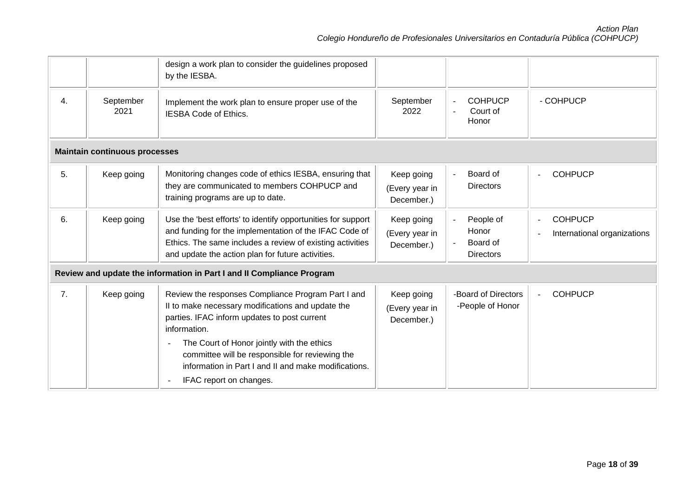|    |                                      | design a work plan to consider the guidelines proposed<br>by the IESBA.                                                                                                                                                                                                                                                                                     |                                            |                                                    |                                               |  |  |  |  |
|----|--------------------------------------|-------------------------------------------------------------------------------------------------------------------------------------------------------------------------------------------------------------------------------------------------------------------------------------------------------------------------------------------------------------|--------------------------------------------|----------------------------------------------------|-----------------------------------------------|--|--|--|--|
| 4. | September<br>2021                    | Implement the work plan to ensure proper use of the<br><b>IESBA Code of Ethics.</b>                                                                                                                                                                                                                                                                         | September<br>2022                          | <b>COHPUCP</b><br>Court of<br>Honor                | - COHPUCP                                     |  |  |  |  |
|    | <b>Maintain continuous processes</b> |                                                                                                                                                                                                                                                                                                                                                             |                                            |                                                    |                                               |  |  |  |  |
| 5. | Keep going                           | Monitoring changes code of ethics IESBA, ensuring that<br>they are communicated to members COHPUCP and<br>training programs are up to date.                                                                                                                                                                                                                 | Keep going<br>(Every year in<br>December.) | Board of<br><b>Directors</b>                       | <b>COHPUCP</b>                                |  |  |  |  |
| 6. | Keep going                           | Use the 'best efforts' to identify opportunities for support<br>and funding for the implementation of the IFAC Code of<br>Ethics. The same includes a review of existing activities<br>and update the action plan for future activities.                                                                                                                    | Keep going<br>(Every year in<br>December.) | People of<br>Honor<br>Board of<br><b>Directors</b> | <b>COHPUCP</b><br>International organizations |  |  |  |  |
|    |                                      | Review and update the information in Part I and II Compliance Program                                                                                                                                                                                                                                                                                       |                                            |                                                    |                                               |  |  |  |  |
| 7. | Keep going                           | Review the responses Compliance Program Part I and<br>II to make necessary modifications and update the<br>parties. IFAC inform updates to post current<br>information.<br>The Court of Honor jointly with the ethics<br>committee will be responsible for reviewing the<br>information in Part I and II and make modifications.<br>IFAC report on changes. | Keep going<br>(Every year in<br>December.) | -Board of Directors<br>-People of Honor            | <b>COHPUCP</b>                                |  |  |  |  |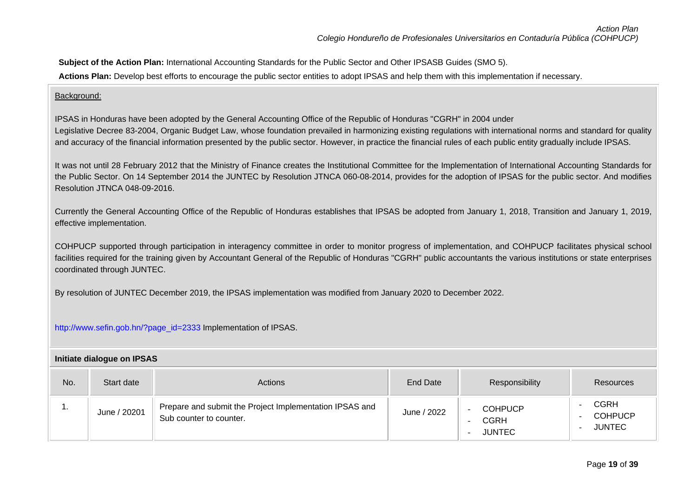**Subject of the Action Plan:** International Accounting Standards for the Public Sector and Other IPSASB Guides (SMO 5).

**Actions Plan:** Develop best efforts to encourage the public sector entities to adopt IPSAS and help them with this implementation if necessary.

#### Background:

IPSAS in Honduras have been adopted by the General Accounting Office of the Republic of Honduras "CGRH" in 2004 under Legislative Decree 83-2004, Organic Budget Law, whose foundation prevailed in harmonizing existing regulations with international norms and standard for quality and accuracy of the financial information presented by the public sector. However, in practice the financial rules of each public entity gradually include IPSAS.

It was not until 28 February 2012 that the Ministry of Finance creates the Institutional Committee for the Implementation of International Accounting Standards for the Public Sector. On 14 September 2014 the JUNTEC by Resolution JTNCA 060-08-2014, provides for the adoption of IPSAS for the public sector. And modifies Resolution JTNCA 048-09-2016.

Currently the General Accounting Office of the Republic of Honduras establishes that IPSAS be adopted from January 1, 2018, Transition and January 1, 2019, effective implementation.

COHPUCP supported through participation in interagency committee in order to monitor progress of implementation, and COHPUCP facilitates physical school facilities required for the training given by Accountant General of the Republic of Honduras "CGRH" public accountants the various institutions or state enterprises coordinated through JUNTEC.

By resolution of JUNTEC December 2019, the IPSAS implementation was modified from January 2020 to December 2022.

[http://www.sefin.gob.hn/?page\\_id=2333](http://www.sefin.gob.hn/?page_id=2333) Implementation of IPSAS.

| Initiate dialogue on IPSAS |              |                                                                                    |                 |                                                                            |                                                                               |  |  |
|----------------------------|--------------|------------------------------------------------------------------------------------|-----------------|----------------------------------------------------------------------------|-------------------------------------------------------------------------------|--|--|
| No.                        | Start date   | Actions                                                                            | <b>End Date</b> | Responsibility                                                             | Resources                                                                     |  |  |
|                            | June / 20201 | Prepare and submit the Project Implementation IPSAS and<br>Sub counter to counter. | June / 2022     | <b>COHPUCP</b><br><b>CGRH</b><br><b>JUNTEC</b><br>$\overline{\phantom{0}}$ | CGRH<br>-<br><b>COHPUCP</b><br>-<br><b>JUNTEC</b><br>$\overline{\phantom{a}}$ |  |  |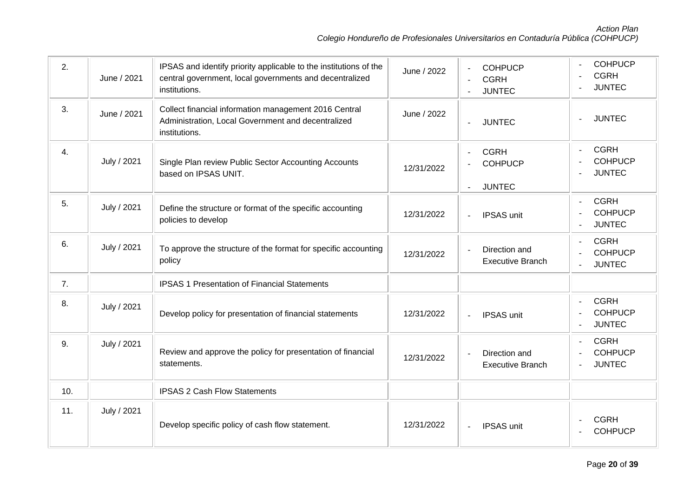| 2.  | June / 2021 | IPSAS and identify priority applicable to the institutions of the<br>central government, local governments and decentralized<br>institutions. | June / 2022 | <b>COHPUCP</b><br><b>CGRH</b><br><b>JUNTEC</b>                     | <b>COHPUCP</b><br><b>CGRH</b><br><b>JUNTEC</b>                   |
|-----|-------------|-----------------------------------------------------------------------------------------------------------------------------------------------|-------------|--------------------------------------------------------------------|------------------------------------------------------------------|
| 3.  | June / 2021 | Collect financial information management 2016 Central<br>Administration, Local Government and decentralized<br>institutions.                  | June / 2022 | <b>JUNTEC</b><br>$\sim$                                            | <b>JUNTEC</b><br>$\overline{a}$                                  |
| 4.  | July / 2021 | Single Plan review Public Sector Accounting Accounts<br>based on IPSAS UNIT.                                                                  | 12/31/2022  | <b>CGRH</b><br>$\sim$<br><b>COHPUCP</b><br><b>JUNTEC</b><br>$\sim$ | <b>CGRH</b><br><b>COHPUCP</b><br><b>JUNTEC</b>                   |
| 5.  | July / 2021 | Define the structure or format of the specific accounting<br>policies to develop                                                              | 12/31/2022  | <b>IPSAS unit</b>                                                  | <b>CGRH</b><br><b>COHPUCP</b><br><b>JUNTEC</b>                   |
| 6.  | July / 2021 | To approve the structure of the format for specific accounting<br>policy                                                                      | 12/31/2022  | Direction and<br><b>Executive Branch</b>                           | <b>CGRH</b><br><b>COHPUCP</b><br><b>JUNTEC</b>                   |
| 7.  |             | <b>IPSAS 1 Presentation of Financial Statements</b>                                                                                           |             |                                                                    |                                                                  |
| 8.  | July / 2021 | Develop policy for presentation of financial statements                                                                                       | 12/31/2022  | <b>IPSAS unit</b>                                                  | <b>CGRH</b><br><b>COHPUCP</b><br><b>JUNTEC</b>                   |
| 9.  | July / 2021 | Review and approve the policy for presentation of financial<br>statements.                                                                    | 12/31/2022  | Direction and<br><b>Executive Branch</b>                           | <b>CGRH</b><br>$\blacksquare$<br><b>COHPUCP</b><br><b>JUNTEC</b> |
| 10. |             | <b>IPSAS 2 Cash Flow Statements</b>                                                                                                           |             |                                                                    |                                                                  |
| 11. | July / 2021 | Develop specific policy of cash flow statement.                                                                                               | 12/31/2022  | <b>IPSAS unit</b>                                                  | <b>CGRH</b><br><b>COHPUCP</b>                                    |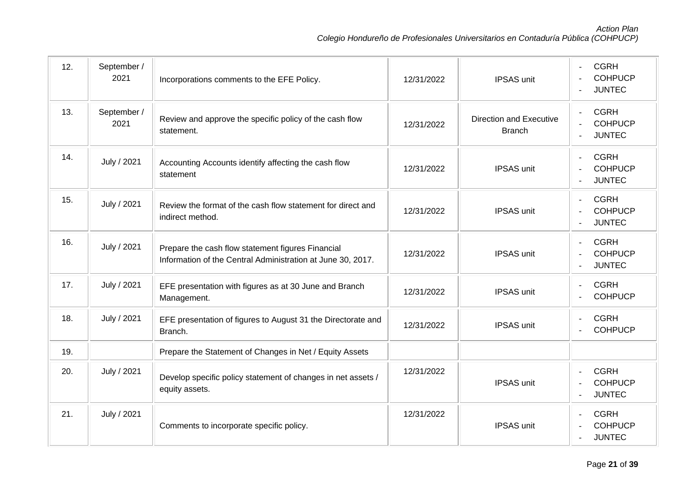| 12. | September /<br>2021 | Incorporations comments to the EFE Policy.                                                                       | 12/31/2022 | <b>IPSAS</b> unit                               | <b>CGRH</b><br><b>COHPUCP</b><br><b>JUNTEC</b><br>$\mathbf{r}$             |
|-----|---------------------|------------------------------------------------------------------------------------------------------------------|------------|-------------------------------------------------|----------------------------------------------------------------------------|
| 13. | September /<br>2021 | Review and approve the specific policy of the cash flow<br>statement.                                            | 12/31/2022 | <b>Direction and Executive</b><br><b>Branch</b> | <b>CGRH</b><br>$\blacksquare$<br><b>COHPUCP</b><br><b>JUNTEC</b>           |
| 14. | July / 2021         | Accounting Accounts identify affecting the cash flow<br>statement                                                | 12/31/2022 | <b>IPSAS</b> unit                               | <b>CGRH</b><br>÷.<br><b>COHPUCP</b><br><b>JUNTEC</b>                       |
| 15. | July / 2021         | Review the format of the cash flow statement for direct and<br>indirect method.                                  | 12/31/2022 | <b>IPSAS unit</b>                               | <b>CGRH</b><br>$\equiv$<br><b>COHPUCP</b><br><b>JUNTEC</b>                 |
| 16. | July / 2021         | Prepare the cash flow statement figures Financial<br>Information of the Central Administration at June 30, 2017. | 12/31/2022 | <b>IPSAS unit</b>                               | <b>CGRH</b><br>$\mathbf{r}$<br><b>COHPUCP</b><br><b>JUNTEC</b>             |
| 17. | July / 2021         | EFE presentation with figures as at 30 June and Branch<br>Management.                                            | 12/31/2022 | <b>IPSAS</b> unit                               | <b>CGRH</b><br><b>COHPUCP</b>                                              |
| 18. | July / 2021         | EFE presentation of figures to August 31 the Directorate and<br>Branch.                                          | 12/31/2022 | <b>IPSAS</b> unit                               | <b>CGRH</b><br>÷.<br><b>COHPUCP</b>                                        |
| 19. |                     | Prepare the Statement of Changes in Net / Equity Assets                                                          |            |                                                 |                                                                            |
| 20. | July / 2021         | Develop specific policy statement of changes in net assets /<br>equity assets.                                   | 12/31/2022 | <b>IPSAS unit</b>                               | <b>CGRH</b><br>$\sim$<br><b>COHPUCP</b><br><b>JUNTEC</b>                   |
| 21. | July / 2021         | Comments to incorporate specific policy.                                                                         | 12/31/2022 | <b>IPSAS</b> unit                               | <b>CGRH</b><br>$\overline{\phantom{a}}$<br><b>COHPUCP</b><br><b>JUNTEC</b> |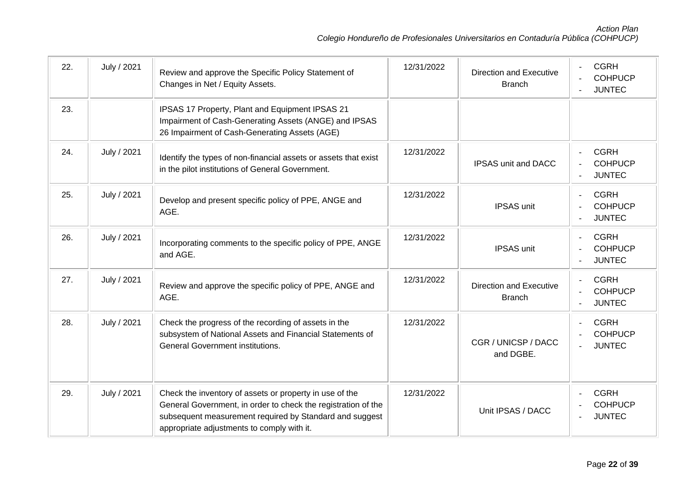| 22. | July / 2021 | Review and approve the Specific Policy Statement of<br>Changes in Net / Equity Assets.                                                                                                                                            | 12/31/2022 | Direction and Executive<br><b>Branch</b> | <b>CGRH</b><br><b>COHPUCP</b><br><b>JUNTEC</b>                   |
|-----|-------------|-----------------------------------------------------------------------------------------------------------------------------------------------------------------------------------------------------------------------------------|------------|------------------------------------------|------------------------------------------------------------------|
| 23. |             | IPSAS 17 Property, Plant and Equipment IPSAS 21<br>Impairment of Cash-Generating Assets (ANGE) and IPSAS<br>26 Impairment of Cash-Generating Assets (AGE)                                                                         |            |                                          |                                                                  |
| 24. | July / 2021 | Identify the types of non-financial assets or assets that exist<br>in the pilot institutions of General Government.                                                                                                               | 12/31/2022 | IPSAS unit and DACC                      | <b>CGRH</b><br>$\mathbf{r}$<br><b>COHPUCP</b><br><b>JUNTEC</b>   |
| 25. | July / 2021 | Develop and present specific policy of PPE, ANGE and<br>AGE.                                                                                                                                                                      | 12/31/2022 | <b>IPSAS unit</b>                        | <b>CGRH</b><br><b>COHPUCP</b><br><b>JUNTEC</b>                   |
| 26. | July / 2021 | Incorporating comments to the specific policy of PPE, ANGE<br>and AGE.                                                                                                                                                            | 12/31/2022 | <b>IPSAS unit</b>                        | <b>CGRH</b><br><b>COHPUCP</b><br><b>JUNTEC</b>                   |
| 27. | July / 2021 | Review and approve the specific policy of PPE, ANGE and<br>AGE.                                                                                                                                                                   | 12/31/2022 | Direction and Executive<br><b>Branch</b> | <b>CGRH</b><br><b>COHPUCP</b><br><b>JUNTEC</b>                   |
| 28. | July / 2021 | Check the progress of the recording of assets in the<br>subsystem of National Assets and Financial Statements of<br><b>General Government institutions.</b>                                                                       | 12/31/2022 | CGR / UNICSP / DACC<br>and DGBE.         | <b>CGRH</b><br>$\overline{a}$<br><b>COHPUCP</b><br><b>JUNTEC</b> |
| 29. | July / 2021 | Check the inventory of assets or property in use of the<br>General Government, in order to check the registration of the<br>subsequent measurement required by Standard and suggest<br>appropriate adjustments to comply with it. | 12/31/2022 | Unit IPSAS / DACC                        | <b>CGRH</b><br><b>COHPUCP</b><br><b>JUNTEC</b>                   |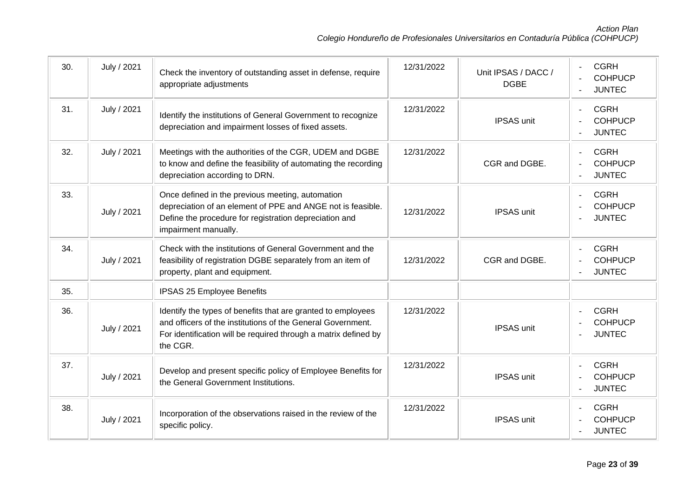| 30. | July / 2021 | Check the inventory of outstanding asset in defense, require<br>appropriate adjustments                                                                                                                    | 12/31/2022 | Unit IPSAS / DACC /<br><b>DGBE</b> | <b>CGRH</b><br><b>COHPUCP</b><br><b>JUNTEC</b>                   |
|-----|-------------|------------------------------------------------------------------------------------------------------------------------------------------------------------------------------------------------------------|------------|------------------------------------|------------------------------------------------------------------|
| 31. | July / 2021 | Identify the institutions of General Government to recognize<br>depreciation and impairment losses of fixed assets.                                                                                        | 12/31/2022 | <b>IPSAS unit</b>                  | <b>CGRH</b><br>$\overline{a}$<br><b>COHPUCP</b><br><b>JUNTEC</b> |
| 32. | July / 2021 | Meetings with the authorities of the CGR, UDEM and DGBE<br>to know and define the feasibility of automating the recording<br>depreciation according to DRN.                                                | 12/31/2022 | CGR and DGBE.                      | <b>CGRH</b><br>$\overline{a}$<br><b>COHPUCP</b><br><b>JUNTEC</b> |
| 33. | July / 2021 | Once defined in the previous meeting, automation<br>depreciation of an element of PPE and ANGE not is feasible.<br>Define the procedure for registration depreciation and<br>impairment manually.          | 12/31/2022 | <b>IPSAS</b> unit                  | <b>CGRH</b><br><b>COHPUCP</b><br><b>JUNTEC</b>                   |
| 34. | July / 2021 | Check with the institutions of General Government and the<br>feasibility of registration DGBE separately from an item of<br>property, plant and equipment.                                                 | 12/31/2022 | CGR and DGBE.                      | <b>CGRH</b><br><b>COHPUCP</b><br><b>JUNTEC</b>                   |
| 35. |             | <b>IPSAS 25 Employee Benefits</b>                                                                                                                                                                          |            |                                    |                                                                  |
| 36. | July / 2021 | Identify the types of benefits that are granted to employees<br>and officers of the institutions of the General Government.<br>For identification will be required through a matrix defined by<br>the CGR. | 12/31/2022 | <b>IPSAS unit</b>                  | <b>CGRH</b><br>$\overline{a}$<br><b>COHPUCP</b><br><b>JUNTEC</b> |
| 37. | July / 2021 | Develop and present specific policy of Employee Benefits for<br>the General Government Institutions.                                                                                                       | 12/31/2022 | <b>IPSAS</b> unit                  | <b>CGRH</b><br>$\overline{a}$<br><b>COHPUCP</b><br><b>JUNTEC</b> |
| 38. | July / 2021 | Incorporation of the observations raised in the review of the<br>specific policy.                                                                                                                          | 12/31/2022 | <b>IPSAS</b> unit                  | <b>CGRH</b><br><b>COHPUCP</b><br><b>JUNTEC</b>                   |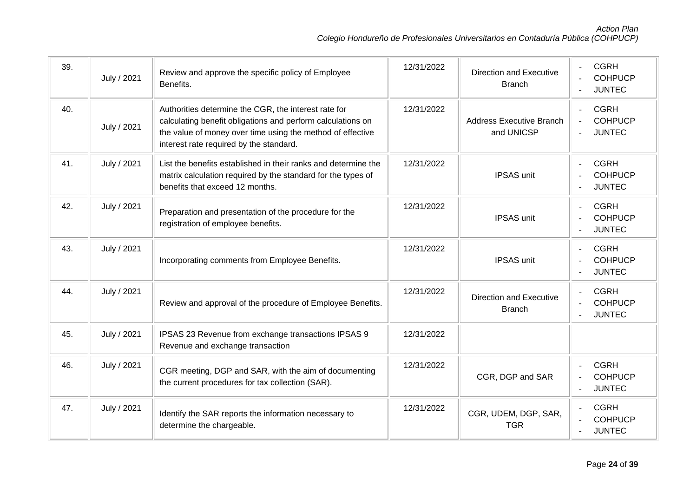| 39. | July / 2021 | Review and approve the specific policy of Employee<br>Benefits.                                                                                                                                                              | 12/31/2022 | <b>Direction and Executive</b><br><b>Branch</b> | <b>CGRH</b><br><b>COHPUCP</b><br><b>JUNTEC</b>                   |
|-----|-------------|------------------------------------------------------------------------------------------------------------------------------------------------------------------------------------------------------------------------------|------------|-------------------------------------------------|------------------------------------------------------------------|
| 40. | July / 2021 | Authorities determine the CGR, the interest rate for<br>calculating benefit obligations and perform calculations on<br>the value of money over time using the method of effective<br>interest rate required by the standard. | 12/31/2022 | <b>Address Executive Branch</b><br>and UNICSP   | <b>CGRH</b><br>$\overline{a}$<br><b>COHPUCP</b><br><b>JUNTEC</b> |
| 41. | July / 2021 | List the benefits established in their ranks and determine the<br>matrix calculation required by the standard for the types of<br>benefits that exceed 12 months.                                                            | 12/31/2022 | <b>IPSAS</b> unit                               | <b>CGRH</b><br>$\mathbf{r}$<br><b>COHPUCP</b><br><b>JUNTEC</b>   |
| 42. | July / 2021 | Preparation and presentation of the procedure for the<br>registration of employee benefits.                                                                                                                                  | 12/31/2022 | <b>IPSAS unit</b>                               | <b>CGRH</b><br>$\overline{a}$<br><b>COHPUCP</b><br><b>JUNTEC</b> |
| 43. | July / 2021 | Incorporating comments from Employee Benefits.                                                                                                                                                                               | 12/31/2022 | <b>IPSAS unit</b>                               | <b>CGRH</b><br>L.<br><b>COHPUCP</b><br><b>JUNTEC</b>             |
| 44. | July / 2021 | Review and approval of the procedure of Employee Benefits.                                                                                                                                                                   | 12/31/2022 | <b>Direction and Executive</b><br><b>Branch</b> | <b>CGRH</b><br><b>COHPUCP</b><br><b>JUNTEC</b>                   |
| 45. | July / 2021 | IPSAS 23 Revenue from exchange transactions IPSAS 9<br>Revenue and exchange transaction                                                                                                                                      | 12/31/2022 |                                                 |                                                                  |
| 46. | July / 2021 | CGR meeting, DGP and SAR, with the aim of documenting<br>the current procedures for tax collection (SAR).                                                                                                                    | 12/31/2022 | CGR, DGP and SAR                                | <b>CGRH</b><br>$\overline{a}$<br><b>COHPUCP</b><br><b>JUNTEC</b> |
| 47. | July / 2021 | Identify the SAR reports the information necessary to<br>determine the chargeable.                                                                                                                                           | 12/31/2022 | CGR, UDEM, DGP, SAR,<br><b>TGR</b>              | <b>CGRH</b><br>$\omega$<br><b>COHPUCP</b><br><b>JUNTEC</b>       |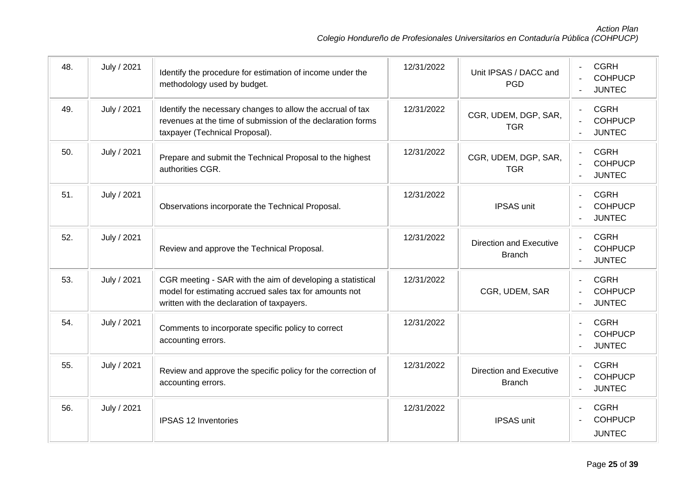| 48. | July / 2021 | Identify the procedure for estimation of income under the<br>methodology used by budget.                                                                           | 12/31/2022 | Unit IPSAS / DACC and<br><b>PGD</b>             | <b>CGRH</b><br><b>COHPUCP</b><br><b>JUNTEC</b>                   |
|-----|-------------|--------------------------------------------------------------------------------------------------------------------------------------------------------------------|------------|-------------------------------------------------|------------------------------------------------------------------|
| 49. | July / 2021 | Identify the necessary changes to allow the accrual of tax<br>revenues at the time of submission of the declaration forms<br>taxpayer (Technical Proposal).        | 12/31/2022 | CGR, UDEM, DGP, SAR,<br><b>TGR</b>              | <b>CGRH</b><br>$\overline{a}$<br><b>COHPUCP</b><br><b>JUNTEC</b> |
| 50. | July / 2021 | Prepare and submit the Technical Proposal to the highest<br>authorities CGR.                                                                                       | 12/31/2022 | CGR, UDEM, DGP, SAR,<br><b>TGR</b>              | <b>CGRH</b><br>$\overline{a}$<br><b>COHPUCP</b><br><b>JUNTEC</b> |
| 51. | July / 2021 | Observations incorporate the Technical Proposal.                                                                                                                   | 12/31/2022 | <b>IPSAS unit</b>                               | <b>CGRH</b><br><b>COHPUCP</b><br><b>JUNTEC</b>                   |
| 52. | July / 2021 | Review and approve the Technical Proposal.                                                                                                                         | 12/31/2022 | <b>Direction and Executive</b><br><b>Branch</b> | <b>CGRH</b><br><b>COHPUCP</b><br><b>JUNTEC</b>                   |
| 53. | July / 2021 | CGR meeting - SAR with the aim of developing a statistical<br>model for estimating accrued sales tax for amounts not<br>written with the declaration of taxpayers. | 12/31/2022 | CGR, UDEM, SAR                                  | <b>CGRH</b><br>÷.<br><b>COHPUCP</b><br><b>JUNTEC</b>             |
| 54. | July / 2021 | Comments to incorporate specific policy to correct<br>accounting errors.                                                                                           | 12/31/2022 |                                                 | <b>CGRH</b><br>$\overline{a}$<br><b>COHPUCP</b><br><b>JUNTEC</b> |
| 55. | July / 2021 | Review and approve the specific policy for the correction of<br>accounting errors.                                                                                 | 12/31/2022 | <b>Direction and Executive</b><br><b>Branch</b> | <b>CGRH</b><br><b>COHPUCP</b><br><b>JUNTEC</b><br>$\mathbf{r}$   |
| 56. | July / 2021 | <b>IPSAS 12 Inventories</b>                                                                                                                                        | 12/31/2022 | <b>IPSAS unit</b>                               | <b>CGRH</b><br><b>COHPUCP</b><br><b>JUNTEC</b>                   |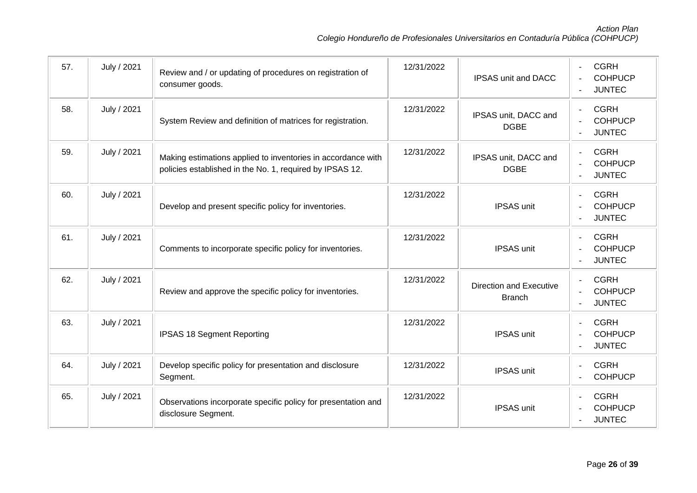| 57. | July / 2021 | Review and / or updating of procedures on registration of<br>consumer goods.                                             | 12/31/2022 | <b>IPSAS unit and DACC</b>                      | <b>CGRH</b><br>$\overline{a}$<br><b>COHPUCP</b><br>$\overline{\phantom{a}}$<br><b>JUNTEC</b><br>$\overline{a}$ |
|-----|-------------|--------------------------------------------------------------------------------------------------------------------------|------------|-------------------------------------------------|----------------------------------------------------------------------------------------------------------------|
| 58. | July / 2021 | System Review and definition of matrices for registration.                                                               | 12/31/2022 | IPSAS unit, DACC and<br><b>DGBE</b>             | <b>CGRH</b><br>$\blacksquare$<br><b>COHPUCP</b><br><b>JUNTEC</b><br>$\blacksquare$                             |
| 59. | July / 2021 | Making estimations applied to inventories in accordance with<br>policies established in the No. 1, required by IPSAS 12. | 12/31/2022 | IPSAS unit, DACC and<br><b>DGBE</b>             | <b>CGRH</b><br>$\blacksquare$<br><b>COHPUCP</b><br><b>JUNTEC</b>                                               |
| 60. | July / 2021 | Develop and present specific policy for inventories.                                                                     | 12/31/2022 | <b>IPSAS unit</b>                               | <b>CGRH</b><br>$\overline{a}$<br><b>COHPUCP</b><br><b>JUNTEC</b><br>$\blacksquare$                             |
| 61. | July / 2021 | Comments to incorporate specific policy for inventories.                                                                 | 12/31/2022 | <b>IPSAS unit</b>                               | <b>CGRH</b><br>$\overline{a}$<br><b>COHPUCP</b><br><b>JUNTEC</b>                                               |
| 62. | July / 2021 | Review and approve the specific policy for inventories.                                                                  | 12/31/2022 | <b>Direction and Executive</b><br><b>Branch</b> | <b>CGRH</b><br>$\overline{a}$<br><b>COHPUCP</b><br><b>JUNTEC</b><br>$\mathbf{r}$                               |
| 63. | July / 2021 | <b>IPSAS 18 Segment Reporting</b>                                                                                        | 12/31/2022 | <b>IPSAS unit</b>                               | <b>CGRH</b><br>$\overline{a}$<br><b>COHPUCP</b><br><b>JUNTEC</b>                                               |
| 64. | July / 2021 | Develop specific policy for presentation and disclosure<br>Segment.                                                      | 12/31/2022 | <b>IPSAS</b> unit                               | <b>CGRH</b><br><b>COHPUCP</b>                                                                                  |
| 65. | July / 2021 | Observations incorporate specific policy for presentation and<br>disclosure Segment.                                     | 12/31/2022 | <b>IPSAS unit</b>                               | <b>CGRH</b><br>$\overline{a}$<br><b>COHPUCP</b><br><b>JUNTEC</b>                                               |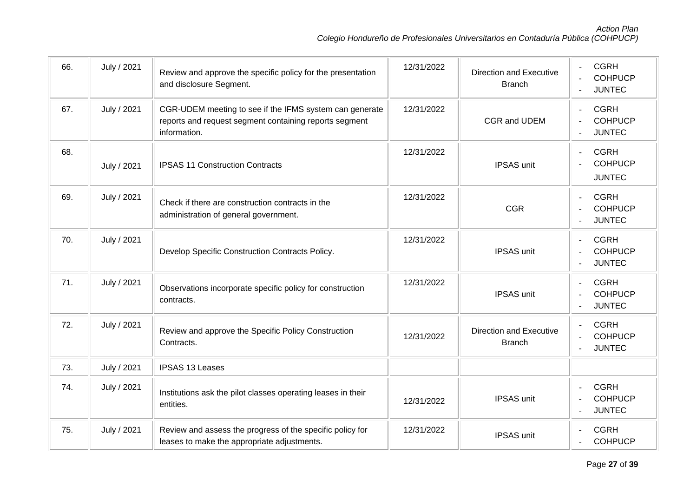| 66. | July / 2021 | Review and approve the specific policy for the presentation<br>and disclosure Segment.                                            | 12/31/2022 | <b>Direction and Executive</b><br><b>Branch</b> | <b>CGRH</b><br><b>COHPUCP</b><br><b>JUNTEC</b>                   |
|-----|-------------|-----------------------------------------------------------------------------------------------------------------------------------|------------|-------------------------------------------------|------------------------------------------------------------------|
| 67. | July / 2021 | CGR-UDEM meeting to see if the IFMS system can generate<br>reports and request segment containing reports segment<br>information. | 12/31/2022 | CGR and UDEM                                    | <b>CGRH</b><br><b>COHPUCP</b><br><b>JUNTEC</b>                   |
| 68. | July / 2021 | <b>IPSAS 11 Construction Contracts</b>                                                                                            | 12/31/2022 | <b>IPSAS unit</b>                               | <b>CGRH</b><br>$\overline{a}$<br><b>COHPUCP</b><br><b>JUNTEC</b> |
| 69. | July / 2021 | Check if there are construction contracts in the<br>administration of general government.                                         | 12/31/2022 | <b>CGR</b>                                      | <b>CGRH</b><br>÷.<br><b>COHPUCP</b><br><b>JUNTEC</b>             |
| 70. | July / 2021 | Develop Specific Construction Contracts Policy.                                                                                   | 12/31/2022 | <b>IPSAS unit</b>                               | <b>CGRH</b><br><b>COHPUCP</b><br><b>JUNTEC</b>                   |
| 71. | July / 2021 | Observations incorporate specific policy for construction<br>contracts.                                                           | 12/31/2022 | <b>IPSAS unit</b>                               | <b>CGRH</b><br><b>COHPUCP</b><br><b>JUNTEC</b>                   |
| 72. | July / 2021 | Review and approve the Specific Policy Construction<br>Contracts.                                                                 | 12/31/2022 | <b>Direction and Executive</b><br><b>Branch</b> | <b>CGRH</b><br><b>COHPUCP</b><br><b>JUNTEC</b>                   |
| 73. | July / 2021 | <b>IPSAS 13 Leases</b>                                                                                                            |            |                                                 |                                                                  |
| 74. | July / 2021 | Institutions ask the pilot classes operating leases in their<br>entities.                                                         | 12/31/2022 | <b>IPSAS unit</b>                               | <b>CGRH</b><br><b>COHPUCP</b><br><b>JUNTEC</b>                   |
| 75. | July / 2021 | Review and assess the progress of the specific policy for<br>leases to make the appropriate adjustments.                          | 12/31/2022 | <b>IPSAS unit</b>                               | <b>CGRH</b><br><b>COHPUCP</b>                                    |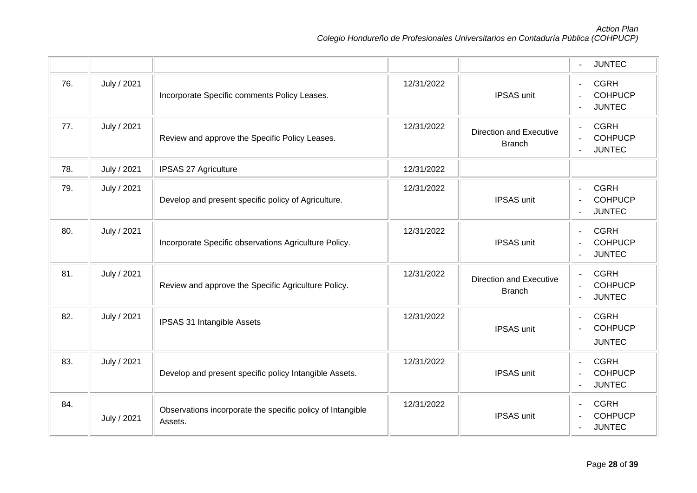|     |             |                                                                       |            |                                          | <b>JUNTEC</b><br>$\blacksquare$                                  |
|-----|-------------|-----------------------------------------------------------------------|------------|------------------------------------------|------------------------------------------------------------------|
| 76. | July / 2021 | Incorporate Specific comments Policy Leases.                          | 12/31/2022 | <b>IPSAS unit</b>                        | <b>CGRH</b><br>$\equiv$<br><b>COHPUCP</b><br><b>JUNTEC</b>       |
| 77. | July / 2021 | Review and approve the Specific Policy Leases.                        | 12/31/2022 | Direction and Executive<br><b>Branch</b> | <b>CGRH</b><br><b>COHPUCP</b><br><b>JUNTEC</b>                   |
| 78. | July / 2021 | <b>IPSAS 27 Agriculture</b>                                           | 12/31/2022 |                                          |                                                                  |
| 79. | July / 2021 | Develop and present specific policy of Agriculture.                   | 12/31/2022 | <b>IPSAS unit</b>                        | <b>CGRH</b><br><b>COHPUCP</b><br><b>JUNTEC</b>                   |
| 80. | July / 2021 | Incorporate Specific observations Agriculture Policy.                 | 12/31/2022 | <b>IPSAS unit</b>                        | <b>CGRH</b><br>$\equiv$<br><b>COHPUCP</b><br><b>JUNTEC</b>       |
| 81. | July / 2021 | Review and approve the Specific Agriculture Policy.                   | 12/31/2022 | Direction and Executive<br><b>Branch</b> | <b>CGRH</b><br>$\blacksquare$<br><b>COHPUCP</b><br><b>JUNTEC</b> |
| 82. | July / 2021 | <b>IPSAS 31 Intangible Assets</b>                                     | 12/31/2022 | <b>IPSAS unit</b>                        | <b>CGRH</b><br>$\blacksquare$<br><b>COHPUCP</b><br><b>JUNTEC</b> |
| 83. | July / 2021 | Develop and present specific policy Intangible Assets.                | 12/31/2022 | <b>IPSAS unit</b>                        | <b>CGRH</b><br>$\mathbf{r}$<br><b>COHPUCP</b><br><b>JUNTEC</b>   |
| 84. | July / 2021 | Observations incorporate the specific policy of Intangible<br>Assets. | 12/31/2022 | <b>IPSAS unit</b>                        | <b>CGRH</b><br>$\blacksquare$<br><b>COHPUCP</b><br><b>JUNTEC</b> |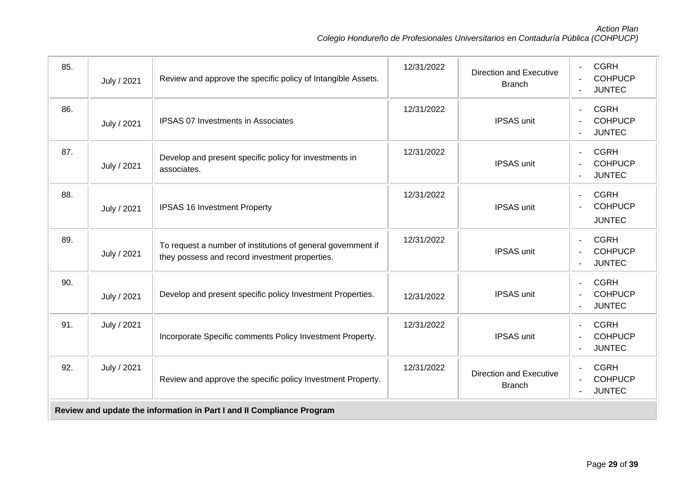| 85.                                                                   | July / 2021 | Review and approve the specific policy of Intangible Assets.                                                   | 12/31/2022 | <b>Direction and Executive</b><br><b>Branch</b> | <b>CGRH</b><br>$\blacksquare$<br><b>COHPUCP</b><br><b>JUNTEC</b>                             |  |  |
|-----------------------------------------------------------------------|-------------|----------------------------------------------------------------------------------------------------------------|------------|-------------------------------------------------|----------------------------------------------------------------------------------------------|--|--|
| 86.                                                                   | July / 2021 | <b>IPSAS 07 Investments in Associates</b>                                                                      | 12/31/2022 | <b>IPSAS unit</b>                               | <b>CGRH</b><br>$\equiv$<br><b>COHPUCP</b><br><b>JUNTEC</b>                                   |  |  |
| 87.                                                                   | July / 2021 | Develop and present specific policy for investments in<br>associates.                                          | 12/31/2022 | <b>IPSAS unit</b>                               | <b>CGRH</b><br>$\omega$<br><b>COHPUCP</b><br><b>JUNTEC</b><br>$\sim$                         |  |  |
| 88.                                                                   | July / 2021 | <b>IPSAS 16 Investment Property</b>                                                                            | 12/31/2022 | <b>IPSAS unit</b>                               | <b>CGRH</b><br>$\overline{a}$<br><b>COHPUCP</b><br><b>JUNTEC</b>                             |  |  |
| 89.                                                                   | July / 2021 | To request a number of institutions of general government if<br>they possess and record investment properties. | 12/31/2022 | <b>IPSAS unit</b>                               | <b>CGRH</b><br>$\blacksquare$<br><b>COHPUCP</b><br><b>JUNTEC</b>                             |  |  |
| 90.                                                                   | July / 2021 | Develop and present specific policy Investment Properties.                                                     | 12/31/2022 | <b>IPSAS unit</b>                               | <b>CGRH</b><br>$\blacksquare$<br><b>COHPUCP</b><br><b>JUNTEC</b><br>$\overline{\phantom{a}}$ |  |  |
| 91.                                                                   | July / 2021 | Incorporate Specific comments Policy Investment Property.                                                      | 12/31/2022 | <b>IPSAS unit</b>                               | <b>CGRH</b><br>$\overline{a}$<br><b>COHPUCP</b><br><b>JUNTEC</b>                             |  |  |
| 92.                                                                   | July / 2021 | Review and approve the specific policy Investment Property.                                                    | 12/31/2022 | <b>Direction and Executive</b><br><b>Branch</b> | <b>CGRH</b><br>$\overline{a}$<br><b>COHPUCP</b><br>$\blacksquare$<br><b>JUNTEC</b>           |  |  |
| Review and update the information in Part I and II Compliance Program |             |                                                                                                                |            |                                                 |                                                                                              |  |  |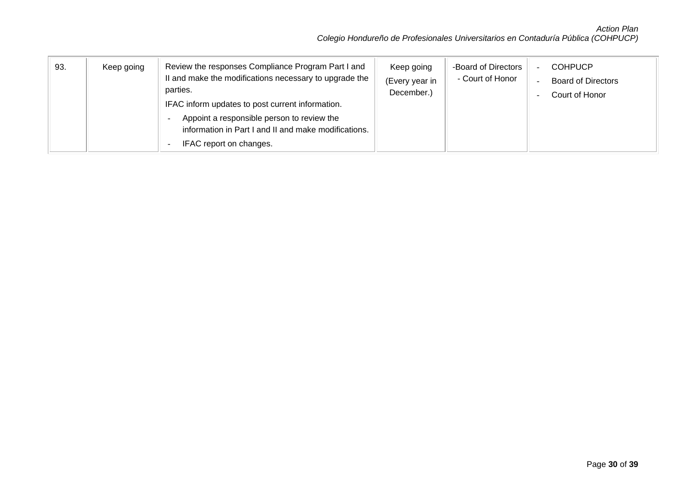| 93. | Keep going | Review the responses Compliance Program Part I and<br>II and make the modifications necessary to upgrade the<br>parties.<br>IFAC inform updates to post current information.<br>Appoint a responsible person to review the<br>information in Part I and II and make modifications.<br>IFAC report on changes. | Keep going<br>(Every year in<br>December.) | -Board of Directors<br>- Court of Honor |  | <b>COHPUCP</b><br><b>Board of Directors</b><br>Court of Honor |
|-----|------------|---------------------------------------------------------------------------------------------------------------------------------------------------------------------------------------------------------------------------------------------------------------------------------------------------------------|--------------------------------------------|-----------------------------------------|--|---------------------------------------------------------------|
|-----|------------|---------------------------------------------------------------------------------------------------------------------------------------------------------------------------------------------------------------------------------------------------------------------------------------------------------------|--------------------------------------------|-----------------------------------------|--|---------------------------------------------------------------|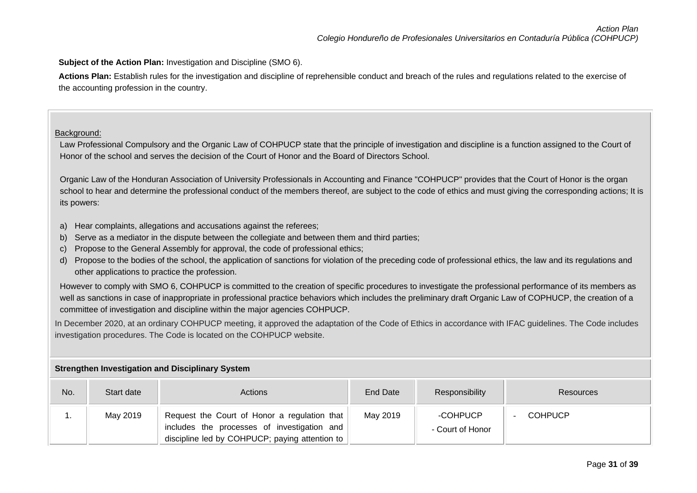**Subject of the Action Plan:** Investigation and Discipline (SMO 6).

**Actions Plan:** Establish rules for the investigation and discipline of reprehensible conduct and breach of the rules and regulations related to the exercise of the accounting profession in the country.

## Background:

Law Professional Compulsory and the Organic Law of COHPUCP state that the principle of investigation and discipline is a function assigned to the Court of Honor of the school and serves the decision of the Court of Honor and the Board of Directors School.

Organic Law of the Honduran Association of University Professionals in Accounting and Finance "COHPUCP" provides that the Court of Honor is the organ school to hear and determine the professional conduct of the members thereof, are subject to the code of ethics and must giving the corresponding actions; It is its powers:

- a) Hear complaints, allegations and accusations against the referees;
- b) Serve as a mediator in the dispute between the collegiate and between them and third parties;
- c) Propose to the General Assembly for approval, the code of professional ethics;
- d) Propose to the bodies of the school, the application of sanctions for violation of the preceding code of professional ethics, the law and its regulations and other applications to practice the profession.

However to comply with SMO 6, COHPUCP is committed to the creation of specific procedures to investigate the professional performance of its members as well as sanctions in case of inappropriate in professional practice behaviors which includes the preliminary draft Organic Law of COPHUCP, the creation of a committee of investigation and discipline within the major agencies COHPUCP.

In December 2020, at an ordinary COHPUCP meeting, it approved the adaptation of the Code of Ethics in accordance with IFAC guidelines. The Code includes investigation procedures. The Code is located on the COHPUCP website.

|     | Strengthen investigation and Disciplinary System |                                                                                                                                               |          |                              |                  |  |  |
|-----|--------------------------------------------------|-----------------------------------------------------------------------------------------------------------------------------------------------|----------|------------------------------|------------------|--|--|
| No. | Start date                                       | Actions                                                                                                                                       | End Date | Responsibility               | <b>Resources</b> |  |  |
| . . | May 2019                                         | Request the Court of Honor a regulation that<br>includes the processes of investigation and<br>discipline led by COHPUCP; paying attention to | May 2019 | -COHPUCP<br>- Court of Honor | <b>COHPUCP</b>   |  |  |

# **Strengthen Investigation and Disciplinary System**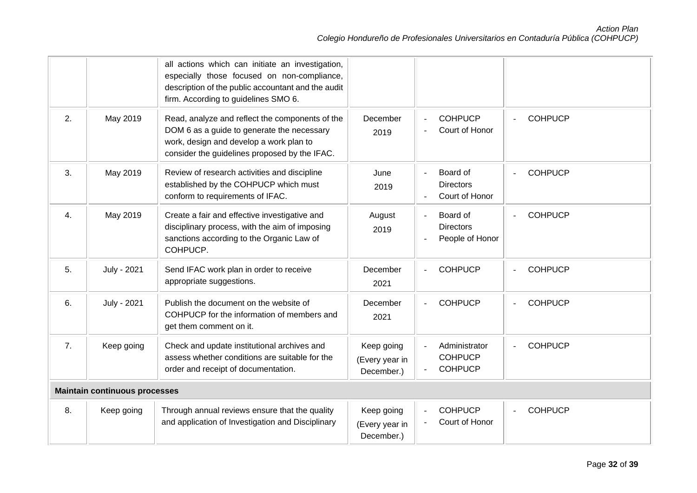|    |                                      | all actions which can initiate an investigation,<br>especially those focused on non-compliance,<br>description of the public accountant and the audit<br>firm. According to guidelines SMO 6. |                                            |                                                   |                |  |  |
|----|--------------------------------------|-----------------------------------------------------------------------------------------------------------------------------------------------------------------------------------------------|--------------------------------------------|---------------------------------------------------|----------------|--|--|
| 2. | May 2019                             | Read, analyze and reflect the components of the<br>DOM 6 as a guide to generate the necessary<br>work, design and develop a work plan to<br>consider the guidelines proposed by the IFAC.     | December<br>2019                           | <b>COHPUCP</b><br>Court of Honor                  | <b>COHPUCP</b> |  |  |
| 3. | May 2019                             | Review of research activities and discipline<br>established by the COHPUCP which must<br>conform to requirements of IFAC.                                                                     | June<br>2019                               | Board of<br><b>Directors</b><br>Court of Honor    | <b>COHPUCP</b> |  |  |
| 4. | May 2019                             | Create a fair and effective investigative and<br>disciplinary process, with the aim of imposing<br>sanctions according to the Organic Law of<br>COHPUCP.                                      | August<br>2019                             | Board of<br><b>Directors</b><br>People of Honor   | <b>COHPUCP</b> |  |  |
| 5. | July - 2021                          | Send IFAC work plan in order to receive<br>appropriate suggestions.                                                                                                                           | December<br>2021                           | <b>COHPUCP</b>                                    | <b>COHPUCP</b> |  |  |
| 6. | July - 2021                          | Publish the document on the website of<br>COHPUCP for the information of members and<br>get them comment on it.                                                                               | December<br>2021                           | <b>COHPUCP</b>                                    | <b>COHPUCP</b> |  |  |
| 7. | Keep going                           | Check and update institutional archives and<br>assess whether conditions are suitable for the<br>order and receipt of documentation.                                                          | Keep going<br>(Every year in<br>December.) | Administrator<br><b>COHPUCP</b><br><b>COHPUCP</b> | <b>COHPUCP</b> |  |  |
|    | <b>Maintain continuous processes</b> |                                                                                                                                                                                               |                                            |                                                   |                |  |  |
| 8. | Keep going                           | Through annual reviews ensure that the quality<br>and application of Investigation and Disciplinary                                                                                           | Keep going<br>(Every year in<br>December.) | <b>COHPUCP</b><br>Court of Honor                  | <b>COHPUCP</b> |  |  |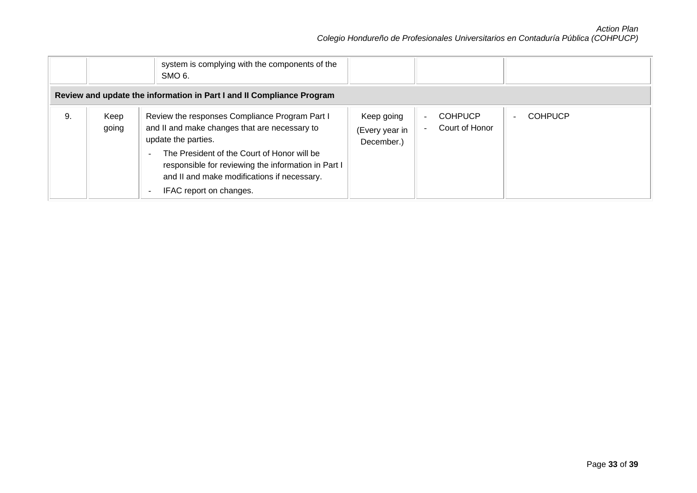|    |               | system is complying with the components of the<br>SMO <sub>6</sub> .                                                                              |                                            |                                  |         |
|----|---------------|---------------------------------------------------------------------------------------------------------------------------------------------------|--------------------------------------------|----------------------------------|---------|
|    |               | Review and update the information in Part I and II Compliance Program                                                                             |                                            |                                  |         |
| 9. | Keep<br>going | Review the responses Compliance Program Part I<br>and II and make changes that are necessary to<br>update the parties.                            | Keep going<br>(Every year in<br>December.) | <b>COHPUCP</b><br>Court of Honor | COHPUCP |
|    |               | The President of the Court of Honor will be<br>responsible for reviewing the information in Part I<br>and II and make modifications if necessary. |                                            |                                  |         |
|    |               | IFAC report on changes.                                                                                                                           |                                            |                                  |         |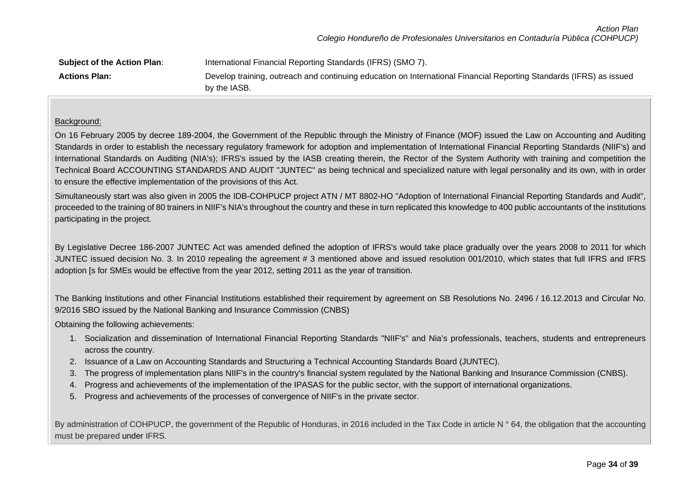| <b>Subject of the Action Plan:</b> | International Financial Reporting Standards (IFRS) (SMO 7).                                                                         |
|------------------------------------|-------------------------------------------------------------------------------------------------------------------------------------|
| <b>Actions Plan:</b>               | Develop training, outreach and continuing education on International Financial Reporting Standards (IFRS) as issued<br>by the IASB. |

#### Background:

On 16 February 2005 by decree 189-2004, the Government of the Republic through the Ministry of Finance (MOF) issued the Law on Accounting and Auditing Standards in order to establish the necessary regulatory framework for adoption and implementation of International Financial Reporting Standards (NIIF's) and International Standards on Auditing (NIA's); IFRS's issued by the IASB creating therein, the Rector of the System Authority with training and competition the Technical Board ACCOUNTING STANDARDS AND AUDIT "JUNTEC" as being technical and specialized nature with legal personality and its own, with in order to ensure the effective implementation of the provisions of this Act.

Simultaneously start was also given in 2005 the IDB-COHPUCP project ATN / MT 8802-HO "Adoption of International Financial Reporting Standards and Audit", proceeded to the training of 80 trainers in NIIF's NIA's throughout the country and these in turn replicated this knowledge to 400 public accountants of the institutions participating in the project.

By Legislative Decree 186-2007 JUNTEC Act was amended defined the adoption of IFRS's would take place gradually over the years 2008 to 2011 for which JUNTEC issued decision No. 3. In 2010 repealing the agreement # 3 mentioned above and issued resolution 001/2010, which states that full IFRS and IFRS adoption [s for SMEs would be effective from the year 2012, setting 2011 as the year of transition.

The Banking Institutions and other Financial Institutions established their requirement by agreement on SB Resolutions No. 2496 / 16.12.2013 and Circular No. 9/2016 SBO issued by the National Banking and Insurance Commission (CNBS)

Obtaining the following achievements:

- 1. Socialization and dissemination of International Financial Reporting Standards "NIIF's" and Nia's professionals, teachers, students and entrepreneurs across the country.
- 2. Issuance of a Law on Accounting Standards and Structuring a Technical Accounting Standards Board (JUNTEC).
- 3. The progress of implementation plans NIIF's in the country's financial system regulated by the National Banking and Insurance Commission (CNBS).
- 4. Progress and achievements of the implementation of the IPASAS for the public sector, with the support of international organizations.
- 5. Progress and achievements of the processes of convergence of NIIF's in the private sector.

By administration of COHPUCP, the government of the Republic of Honduras, in 2016 included in the Tax Code in article N ° 64, the obligation that the accounting must be prepared under IFRS.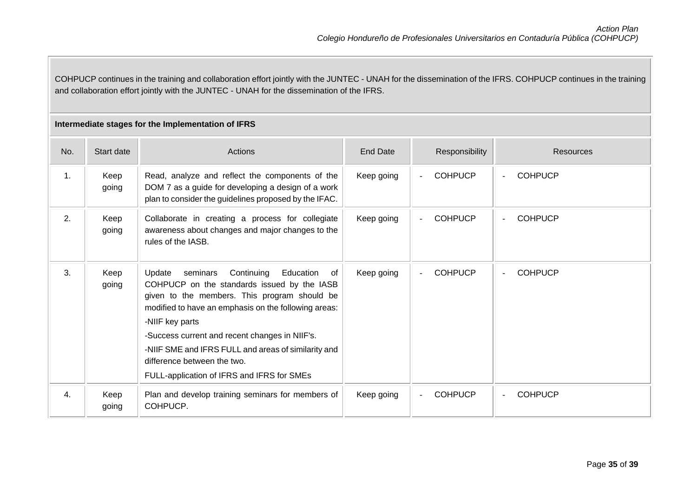COHPUCP continues in the training and collaboration effort jointly with the JUNTEC - UNAH for the dissemination of the IFRS. COHPUCP continues in the training and collaboration effort jointly with the JUNTEC - UNAH for the dissemination of the IFRS.

# **Intermediate stages for the Implementation of IFRS**

| No. | Start date    | Actions                                                                                                                                                                                                                                                                                                                                                                                                             | End Date   | Responsibility | <b>Resources</b>                      |
|-----|---------------|---------------------------------------------------------------------------------------------------------------------------------------------------------------------------------------------------------------------------------------------------------------------------------------------------------------------------------------------------------------------------------------------------------------------|------------|----------------|---------------------------------------|
| 1.  | Keep<br>going | Read, analyze and reflect the components of the<br>DOM 7 as a guide for developing a design of a work<br>plan to consider the guidelines proposed by the IFAC.                                                                                                                                                                                                                                                      | Keep going | <b>COHPUCP</b> | <b>COHPUCP</b><br>$\blacksquare$      |
| 2.  | Keep<br>going | Collaborate in creating a process for collegiate<br>awareness about changes and major changes to the<br>rules of the IASB.                                                                                                                                                                                                                                                                                          | Keep going | <b>COHPUCP</b> | <b>COHPUCP</b><br>$\bar{\phantom{a}}$ |
| 3.  | Keep<br>going | Continuing<br>Update<br>seminars<br>Education<br>of<br>COHPUCP on the standards issued by the IASB<br>given to the members. This program should be<br>modified to have an emphasis on the following areas:<br>-NIIF key parts<br>-Success current and recent changes in NIIF's.<br>-NIIF SME and IFRS FULL and areas of similarity and<br>difference between the two.<br>FULL-application of IFRS and IFRS for SMEs | Keep going | <b>COHPUCP</b> | <b>COHPUCP</b><br>$\mathbf{r}$        |
| 4.  | Keep<br>going | Plan and develop training seminars for members of<br>COHPUCP.                                                                                                                                                                                                                                                                                                                                                       | Keep going | <b>COHPUCP</b> | <b>COHPUCP</b>                        |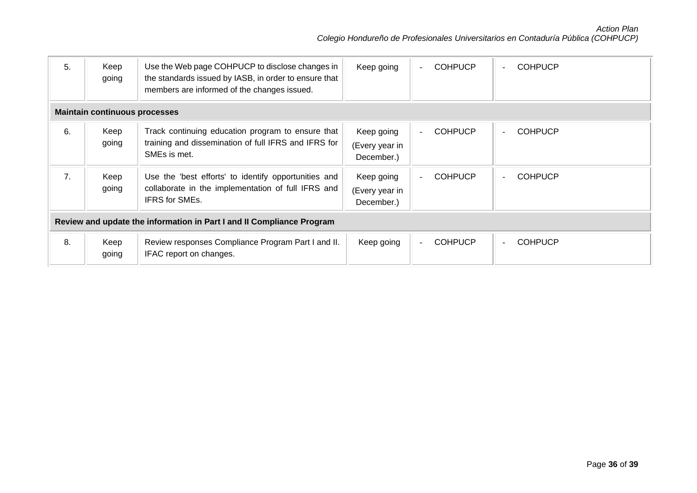| 5. | Keep<br>going                                                         | Use the Web page COHPUCP to disclose changes in<br>the standards issued by IASB, in order to ensure that<br>members are informed of the changes issued. | Keep going                                 | <b>COHPUCP</b><br>$\sim$ | <b>COHPUCP</b><br>$\overline{\phantom{a}}$ |  |  |
|----|-----------------------------------------------------------------------|---------------------------------------------------------------------------------------------------------------------------------------------------------|--------------------------------------------|--------------------------|--------------------------------------------|--|--|
|    | <b>Maintain continuous processes</b>                                  |                                                                                                                                                         |                                            |                          |                                            |  |  |
| 6. | Keep<br>going                                                         | Track continuing education program to ensure that<br>training and dissemination of full IFRS and IFRS for<br>SME <sub>s</sub> is met.                   | Keep going<br>(Every year in<br>December.) | <b>COHPUCP</b><br>$\sim$ | <b>COHPUCP</b><br>$\sim$                   |  |  |
| 7. | Keep<br>going                                                         | Use the 'best efforts' to identify opportunities and<br>collaborate in the implementation of full IFRS and<br><b>IFRS</b> for SMEs.                     | Keep going<br>(Every year in<br>December.) | <b>COHPUCP</b>           | <b>COHPUCP</b><br>$\overline{\phantom{a}}$ |  |  |
|    | Review and update the information in Part I and II Compliance Program |                                                                                                                                                         |                                            |                          |                                            |  |  |
| 8. | Keep<br>going                                                         | Review responses Compliance Program Part I and II.<br>IFAC report on changes.                                                                           | Keep going                                 | <b>COHPUCP</b><br>$\sim$ | <b>COHPUCP</b><br>$\sim$                   |  |  |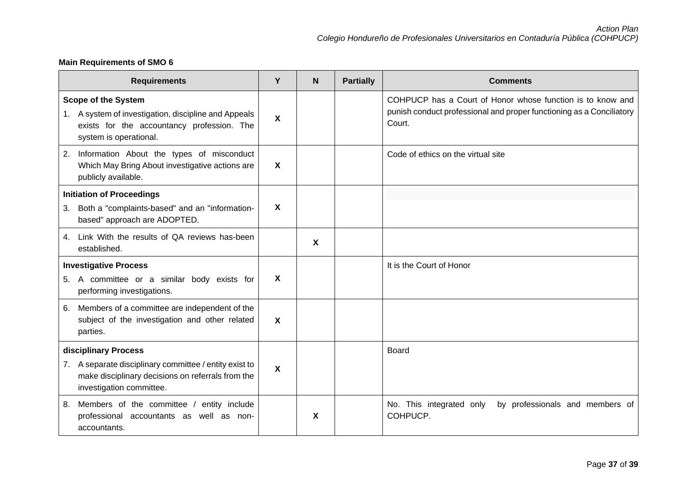# **Main Requirements of SMO 6**

| <b>Requirements</b>                                                                                                                                        | Y                         | N | <b>Partially</b> | <b>Comments</b>                                                                                                                              |
|------------------------------------------------------------------------------------------------------------------------------------------------------------|---------------------------|---|------------------|----------------------------------------------------------------------------------------------------------------------------------------------|
| <b>Scope of the System</b><br>1. A system of investigation, discipline and Appeals<br>exists for the accountancy profession. The<br>system is operational. | $\boldsymbol{\mathsf{X}}$ |   |                  | COHPUCP has a Court of Honor whose function is to know and<br>punish conduct professional and proper functioning as a Conciliatory<br>Court. |
| Information About the types of misconduct<br>2.<br>Which May Bring About investigative actions are<br>publicly available.                                  | $\boldsymbol{\mathsf{X}}$ |   |                  | Code of ethics on the virtual site                                                                                                           |
| <b>Initiation of Proceedings</b>                                                                                                                           |                           |   |                  |                                                                                                                                              |
| Both a "complaints-based" and an "information-<br>3.<br>based" approach are ADOPTED.                                                                       | $\boldsymbol{\mathsf{X}}$ |   |                  |                                                                                                                                              |
| 4. Link With the results of QA reviews has-been<br>established.                                                                                            |                           | X |                  |                                                                                                                                              |
| <b>Investigative Process</b>                                                                                                                               |                           |   |                  | It is the Court of Honor                                                                                                                     |
| 5. A committee or a similar body exists for<br>performing investigations.                                                                                  | $\boldsymbol{\mathsf{X}}$ |   |                  |                                                                                                                                              |
| Members of a committee are independent of the<br>6.<br>subject of the investigation and other related<br>parties.                                          | $\boldsymbol{\mathsf{X}}$ |   |                  |                                                                                                                                              |
| disciplinary Process                                                                                                                                       |                           |   |                  | <b>Board</b>                                                                                                                                 |
| 7. A separate disciplinary committee / entity exist to<br>make disciplinary decisions on referrals from the<br>investigation committee.                    | $\boldsymbol{\mathsf{X}}$ |   |                  |                                                                                                                                              |
| Members of the committee / entity include<br>8.<br>professional accountants as well as non-<br>accountants.                                                |                           | X |                  | No. This integrated only<br>by professionals and members of<br>COHPUCP.                                                                      |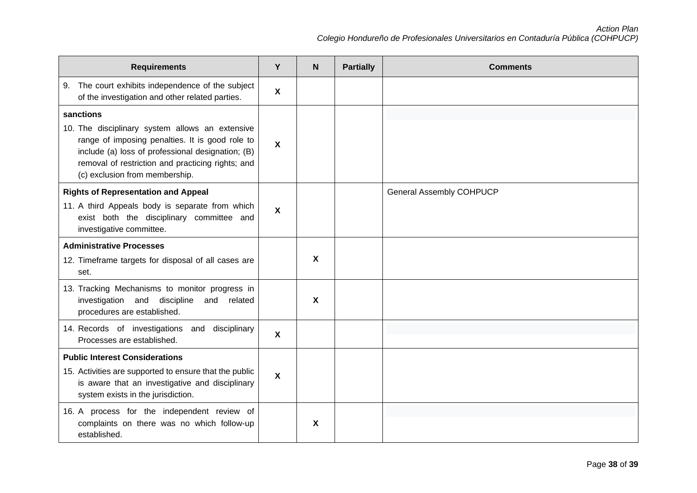| <b>Requirements</b>                                                                                                                                                                                                                            | Y                         | $\mathbf N$               | <b>Partially</b> | <b>Comments</b>                 |
|------------------------------------------------------------------------------------------------------------------------------------------------------------------------------------------------------------------------------------------------|---------------------------|---------------------------|------------------|---------------------------------|
| 9. The court exhibits independence of the subject<br>of the investigation and other related parties.                                                                                                                                           | $\boldsymbol{\mathsf{X}}$ |                           |                  |                                 |
| sanctions                                                                                                                                                                                                                                      |                           |                           |                  |                                 |
| 10. The disciplinary system allows an extensive<br>range of imposing penalties. It is good role to<br>include (a) loss of professional designation; (B)<br>removal of restriction and practicing rights; and<br>(c) exclusion from membership. | $\boldsymbol{\mathsf{X}}$ |                           |                  |                                 |
| <b>Rights of Representation and Appeal</b>                                                                                                                                                                                                     |                           |                           |                  | <b>General Assembly COHPUCP</b> |
| 11. A third Appeals body is separate from which<br>exist both the disciplinary committee and<br>investigative committee.                                                                                                                       | X                         |                           |                  |                                 |
| <b>Administrative Processes</b>                                                                                                                                                                                                                |                           |                           |                  |                                 |
| 12. Timeframe targets for disposal of all cases are<br>set.                                                                                                                                                                                    |                           | $\boldsymbol{\mathsf{X}}$ |                  |                                 |
| 13. Tracking Mechanisms to monitor progress in<br>investigation and discipline and related<br>procedures are established.                                                                                                                      |                           | $\boldsymbol{\mathsf{X}}$ |                  |                                 |
| 14. Records of investigations and disciplinary<br>Processes are established.                                                                                                                                                                   | $\boldsymbol{X}$          |                           |                  |                                 |
| <b>Public Interest Considerations</b>                                                                                                                                                                                                          |                           |                           |                  |                                 |
| 15. Activities are supported to ensure that the public<br>is aware that an investigative and disciplinary<br>system exists in the jurisdiction.                                                                                                | X                         |                           |                  |                                 |
| 16. A process for the independent review of<br>complaints on there was no which follow-up<br>established.                                                                                                                                      |                           | $\boldsymbol{\mathsf{X}}$ |                  |                                 |